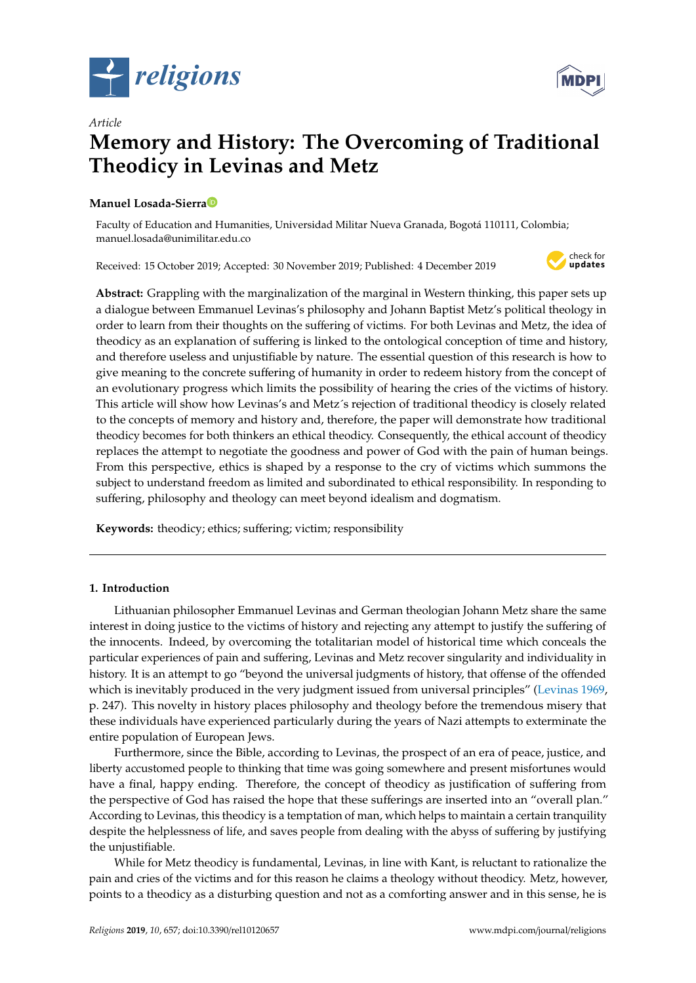



# **Memory and History: The Overcoming of Traditional Theodicy in Levinas and Metz**

# **Manuel Losada-Sierr[a](https://orcid.org/0000-0002-3681-8475)**

*Article*

Faculty of Education and Humanities, Universidad Militar Nueva Granada, Bogotá 110111, Colombia; manuel.losada@unimilitar.edu.co

Received: 15 October 2019; Accepted: 30 November 2019; Published: 4 December 2019



**Abstract:** Grappling with the marginalization of the marginal in Western thinking, this paper sets up a dialogue between Emmanuel Levinas's philosophy and Johann Baptist Metz's political theology in order to learn from their thoughts on the suffering of victims. For both Levinas and Metz, the idea of theodicy as an explanation of suffering is linked to the ontological conception of time and history, and therefore useless and unjustifiable by nature. The essential question of this research is how to give meaning to the concrete suffering of humanity in order to redeem history from the concept of an evolutionary progress which limits the possibility of hearing the cries of the victims of history. This article will show how Levinas's and Metz´s rejection of traditional theodicy is closely related to the concepts of memory and history and, therefore, the paper will demonstrate how traditional theodicy becomes for both thinkers an ethical theodicy. Consequently, the ethical account of theodicy replaces the attempt to negotiate the goodness and power of God with the pain of human beings. From this perspective, ethics is shaped by a response to the cry of victims which summons the subject to understand freedom as limited and subordinated to ethical responsibility. In responding to suffering, philosophy and theology can meet beyond idealism and dogmatism.

**Keywords:** theodicy; ethics; suffering; victim; responsibility

# **1. Introduction**

Lithuanian philosopher Emmanuel Levinas and German theologian Johann Metz share the same interest in doing justice to the victims of history and rejecting any attempt to justify the suffering of the innocents. Indeed, by overcoming the totalitarian model of historical time which conceals the particular experiences of pain and suffering, Levinas and Metz recover singularity and individuality in history. It is an attempt to go "beyond the universal judgments of history, that offense of the offended which is inevitably produced in the very judgment issued from universal principles" [\(Levinas](#page-16-0) [1969,](#page-16-0) p. 247). This novelty in history places philosophy and theology before the tremendous misery that these individuals have experienced particularly during the years of Nazi attempts to exterminate the entire population of European Jews.

Furthermore, since the Bible, according to Levinas, the prospect of an era of peace, justice, and liberty accustomed people to thinking that time was going somewhere and present misfortunes would have a final, happy ending. Therefore, the concept of theodicy as justification of suffering from the perspective of God has raised the hope that these sufferings are inserted into an "overall plan." According to Levinas, this theodicy is a temptation of man, which helps to maintain a certain tranquility despite the helplessness of life, and saves people from dealing with the abyss of suffering by justifying the unjustifiable.

While for Metz theodicy is fundamental, Levinas, in line with Kant, is reluctant to rationalize the pain and cries of the victims and for this reason he claims a theology without theodicy. Metz, however, points to a theodicy as a disturbing question and not as a comforting answer and in this sense, he is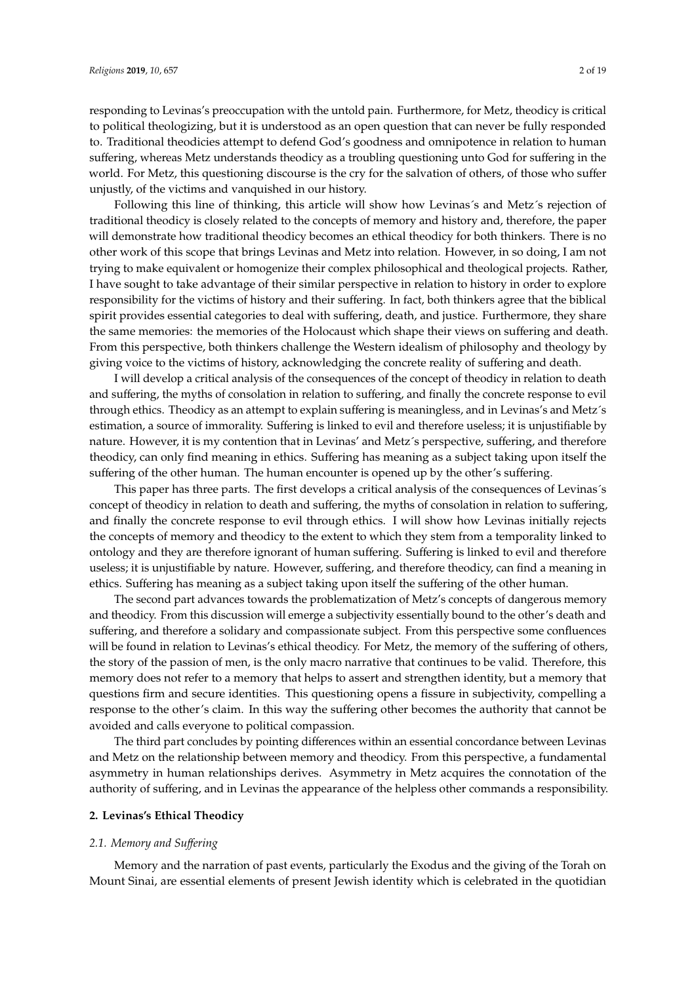responding to Levinas's preoccupation with the untold pain. Furthermore, for Metz, theodicy is critical to political theologizing, but it is understood as an open question that can never be fully responded to. Traditional theodicies attempt to defend God's goodness and omnipotence in relation to human suffering, whereas Metz understands theodicy as a troubling questioning unto God for suffering in the world. For Metz, this questioning discourse is the cry for the salvation of others, of those who suffer unjustly, of the victims and vanquished in our history.

Following this line of thinking, this article will show how Levinas´s and Metz´s rejection of traditional theodicy is closely related to the concepts of memory and history and, therefore, the paper will demonstrate how traditional theodicy becomes an ethical theodicy for both thinkers. There is no other work of this scope that brings Levinas and Metz into relation. However, in so doing, I am not trying to make equivalent or homogenize their complex philosophical and theological projects. Rather, I have sought to take advantage of their similar perspective in relation to history in order to explore responsibility for the victims of history and their suffering. In fact, both thinkers agree that the biblical spirit provides essential categories to deal with suffering, death, and justice. Furthermore, they share the same memories: the memories of the Holocaust which shape their views on suffering and death. From this perspective, both thinkers challenge the Western idealism of philosophy and theology by giving voice to the victims of history, acknowledging the concrete reality of suffering and death.

I will develop a critical analysis of the consequences of the concept of theodicy in relation to death and suffering, the myths of consolation in relation to suffering, and finally the concrete response to evil through ethics. Theodicy as an attempt to explain suffering is meaningless, and in Levinas's and Metz´s estimation, a source of immorality. Suffering is linked to evil and therefore useless; it is unjustifiable by nature. However, it is my contention that in Levinas' and Metz´s perspective, suffering, and therefore theodicy, can only find meaning in ethics. Suffering has meaning as a subject taking upon itself the suffering of the other human. The human encounter is opened up by the other's suffering.

This paper has three parts. The first develops a critical analysis of the consequences of Levinas´s concept of theodicy in relation to death and suffering, the myths of consolation in relation to suffering, and finally the concrete response to evil through ethics. I will show how Levinas initially rejects the concepts of memory and theodicy to the extent to which they stem from a temporality linked to ontology and they are therefore ignorant of human suffering. Suffering is linked to evil and therefore useless; it is unjustifiable by nature. However, suffering, and therefore theodicy, can find a meaning in ethics. Suffering has meaning as a subject taking upon itself the suffering of the other human.

The second part advances towards the problematization of Metz's concepts of dangerous memory and theodicy. From this discussion will emerge a subjectivity essentially bound to the other's death and suffering, and therefore a solidary and compassionate subject. From this perspective some confluences will be found in relation to Levinas's ethical theodicy. For Metz, the memory of the suffering of others, the story of the passion of men, is the only macro narrative that continues to be valid. Therefore, this memory does not refer to a memory that helps to assert and strengthen identity, but a memory that questions firm and secure identities. This questioning opens a fissure in subjectivity, compelling a response to the other's claim. In this way the suffering other becomes the authority that cannot be avoided and calls everyone to political compassion.

The third part concludes by pointing differences within an essential concordance between Levinas and Metz on the relationship between memory and theodicy. From this perspective, a fundamental asymmetry in human relationships derives. Asymmetry in Metz acquires the connotation of the authority of suffering, and in Levinas the appearance of the helpless other commands a responsibility.

#### **2. Levinas's Ethical Theodicy**

#### *2.1. Memory and Su*ff*ering*

Memory and the narration of past events, particularly the Exodus and the giving of the Torah on Mount Sinai, are essential elements of present Jewish identity which is celebrated in the quotidian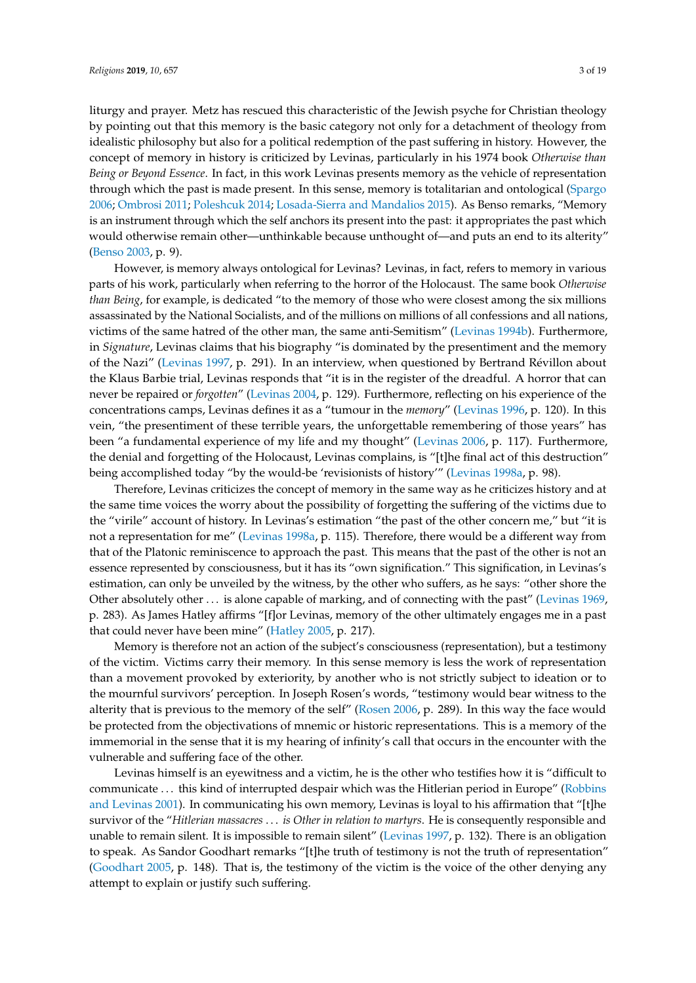liturgy and prayer. Metz has rescued this characteristic of the Jewish psyche for Christian theology by pointing out that this memory is the basic category not only for a detachment of theology from idealistic philosophy but also for a political redemption of the past suffering in history. However, the concept of memory in history is criticized by Levinas, particularly in his 1974 book *Otherwise than Being or Beyond Essence*. In fact, in this work Levinas presents memory as the vehicle of representation through which the past is made present. In this sense, memory is totalitarian and ontological [\(Spargo](#page-18-0) [2006;](#page-18-0) [Ombrosi](#page-17-0) [2011;](#page-17-0) [Poleshcuk](#page-17-1) [2014;](#page-17-1) [Losada-Sierra and Mandalios](#page-17-2) [2015\)](#page-17-2). As Benso remarks, "Memory is an instrument through which the self anchors its present into the past: it appropriates the past which would otherwise remain other—unthinkable because unthought of—and puts an end to its alterity" [\(Benso](#page-16-1) [2003,](#page-16-1) p. 9).

However, is memory always ontological for Levinas? Levinas, in fact, refers to memory in various parts of his work, particularly when referring to the horror of the Holocaust. The same book *Otherwise than Being*, for example, is dedicated "to the memory of those who were closest among the six millions assassinated by the National Socialists, and of the millions on millions of all confessions and all nations, victims of the same hatred of the other man, the same anti-Semitism" [\(Levinas](#page-17-3) [1994b\)](#page-17-3). Furthermore, in *Signature*, Levinas claims that his biography "is dominated by the presentiment and the memory of the Nazi" [\(Levinas](#page-17-4) [1997,](#page-17-4) p. 291). In an interview, when questioned by Bertrand Révillon about the Klaus Barbie trial, Levinas responds that "it is in the register of the dreadful. A horror that can never be repaired or *forgotten*" [\(Levinas](#page-17-5) [2004,](#page-17-5) p. 129). Furthermore, reflecting on his experience of the concentrations camps, Levinas defines it as a "tumour in the *memory*" [\(Levinas](#page-17-6) [1996,](#page-17-6) p. 120). In this vein, "the presentiment of these terrible years, the unforgettable remembering of those years" has been "a fundamental experience of my life and my thought" [\(Levinas](#page-17-7) [2006,](#page-17-7) p. 117). Furthermore, the denial and forgetting of the Holocaust, Levinas complains, is "[t]he final act of this destruction" being accomplished today "by the would-be 'revisionists of history'" [\(Levinas](#page-17-8) [1998a,](#page-17-8) p. 98).

Therefore, Levinas criticizes the concept of memory in the same way as he criticizes history and at the same time voices the worry about the possibility of forgetting the suffering of the victims due to the "virile" account of history. In Levinas's estimation "the past of the other concern me," but "it is not a representation for me" [\(Levinas](#page-17-8) [1998a,](#page-17-8) p. 115). Therefore, there would be a different way from that of the Platonic reminiscence to approach the past. This means that the past of the other is not an essence represented by consciousness, but it has its "own signification." This signification, in Levinas's estimation, can only be unveiled by the witness, by the other who suffers, as he says: "other shore the Other absolutely other . . . is alone capable of marking, and of connecting with the past" [\(Levinas](#page-16-0) [1969,](#page-16-0) p. 283). As James Hatley affirms "[f]or Levinas, memory of the other ultimately engages me in a past that could never have been mine" [\(Hatley](#page-16-2) [2005,](#page-16-2) p. 217).

Memory is therefore not an action of the subject's consciousness (representation), but a testimony of the victim. Victims carry their memory. In this sense memory is less the work of representation than a movement provoked by exteriority, by another who is not strictly subject to ideation or to the mournful survivors' perception. In Joseph Rosen's words, "testimony would bear witness to the alterity that is previous to the memory of the self" [\(Rosen](#page-17-9) [2006,](#page-17-9) p. 289). In this way the face would be protected from the objectivations of mnemic or historic representations. This is a memory of the immemorial in the sense that it is my hearing of infinity's call that occurs in the encounter with the vulnerable and suffering face of the other.

Levinas himself is an eyewitness and a victim, he is the other who testifies how it is "difficult to communicate . . . this kind of interrupted despair which was the Hitlerian period in Europe" [\(Robbins](#page-17-10) [and Levinas](#page-17-10) [2001\)](#page-17-10). In communicating his own memory, Levinas is loyal to his affirmation that "[t]he survivor of the "*Hitlerian massacres* . . . *is Other in relation to martyrs*. He is consequently responsible and unable to remain silent. It is impossible to remain silent" [\(Levinas](#page-17-4) [1997,](#page-17-4) p. 132). There is an obligation to speak. As Sandor Goodhart remarks "[t]he truth of testimony is not the truth of representation" [\(Goodhart](#page-16-3) [2005,](#page-16-3) p. 148). That is, the testimony of the victim is the voice of the other denying any attempt to explain or justify such suffering.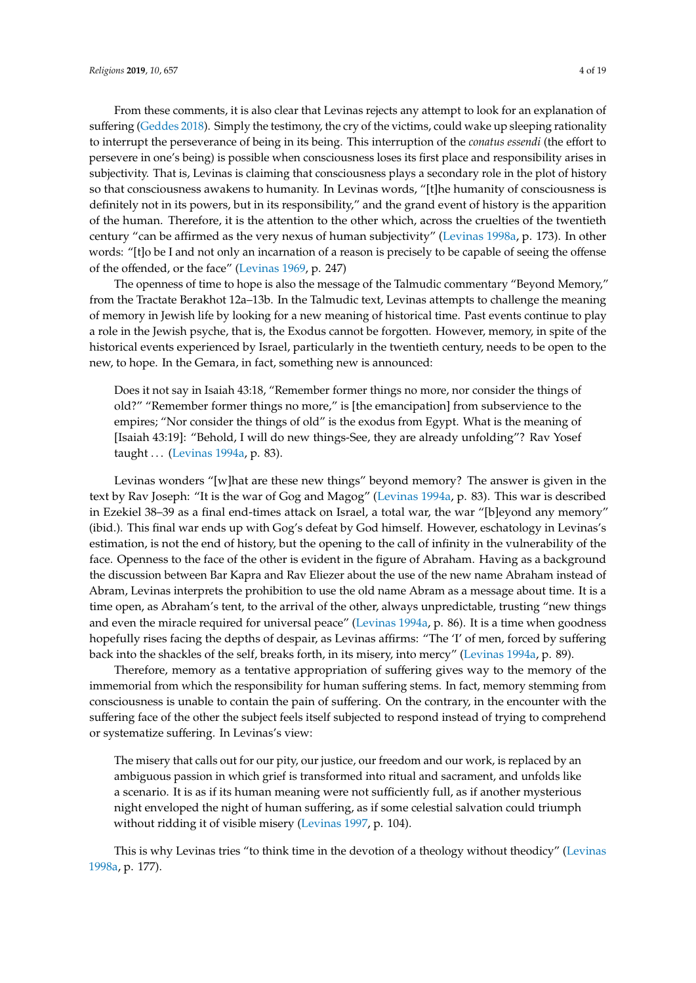From these comments, it is also clear that Levinas rejects any attempt to look for an explanation of suffering [\(Geddes](#page-16-4) [2018\)](#page-16-4). Simply the testimony, the cry of the victims, could wake up sleeping rationality to interrupt the perseverance of being in its being. This interruption of the *conatus essendi* (the effort to persevere in one's being) is possible when consciousness loses its first place and responsibility arises in subjectivity. That is, Levinas is claiming that consciousness plays a secondary role in the plot of history so that consciousness awakens to humanity. In Levinas words, "[t]he humanity of consciousness is definitely not in its powers, but in its responsibility," and the grand event of history is the apparition of the human. Therefore, it is the attention to the other which, across the cruelties of the twentieth century "can be affirmed as the very nexus of human subjectivity" [\(Levinas](#page-17-8) [1998a,](#page-17-8) p. 173). In other words: "[t]o be I and not only an incarnation of a reason is precisely to be capable of seeing the offense of the offended, or the face" [\(Levinas](#page-16-0) [1969,](#page-16-0) p. 247)

The openness of time to hope is also the message of the Talmudic commentary "Beyond Memory," from the Tractate Berakhot 12a–13b. In the Talmudic text, Levinas attempts to challenge the meaning of memory in Jewish life by looking for a new meaning of historical time. Past events continue to play a role in the Jewish psyche, that is, the Exodus cannot be forgotten. However, memory, in spite of the historical events experienced by Israel, particularly in the twentieth century, needs to be open to the new, to hope. In the Gemara, in fact, something new is announced:

Does it not say in Isaiah 43:18, "Remember former things no more, nor consider the things of old?" "Remember former things no more," is [the emancipation] from subservience to the empires; "Nor consider the things of old" is the exodus from Egypt. What is the meaning of [Isaiah 43:19]: "Behold, I will do new things-See, they are already unfolding"? Rav Yosef taught . . . [\(Levinas](#page-17-11) [1994a,](#page-17-11) p. 83).

Levinas wonders "[w]hat are these new things" beyond memory? The answer is given in the text by Rav Joseph: "It is the war of Gog and Magog" [\(Levinas](#page-17-11) [1994a,](#page-17-11) p. 83). This war is described in Ezekiel 38–39 as a final end-times attack on Israel, a total war, the war "[b]eyond any memory" (ibid.). This final war ends up with Gog's defeat by God himself. However, eschatology in Levinas's estimation, is not the end of history, but the opening to the call of infinity in the vulnerability of the face. Openness to the face of the other is evident in the figure of Abraham. Having as a background the discussion between Bar Kapra and Rav Eliezer about the use of the new name Abraham instead of Abram, Levinas interprets the prohibition to use the old name Abram as a message about time. It is a time open, as Abraham's tent, to the arrival of the other, always unpredictable, trusting "new things and even the miracle required for universal peace" [\(Levinas](#page-17-11) [1994a,](#page-17-11) p. 86). It is a time when goodness hopefully rises facing the depths of despair, as Levinas affirms: "The 'I' of men, forced by suffering back into the shackles of the self, breaks forth, in its misery, into mercy" [\(Levinas](#page-17-11) [1994a,](#page-17-11) p. 89).

Therefore, memory as a tentative appropriation of suffering gives way to the memory of the immemorial from which the responsibility for human suffering stems. In fact, memory stemming from consciousness is unable to contain the pain of suffering. On the contrary, in the encounter with the suffering face of the other the subject feels itself subjected to respond instead of trying to comprehend or systematize suffering. In Levinas's view:

The misery that calls out for our pity, our justice, our freedom and our work, is replaced by an ambiguous passion in which grief is transformed into ritual and sacrament, and unfolds like a scenario. It is as if its human meaning were not sufficiently full, as if another mysterious night enveloped the night of human suffering, as if some celestial salvation could triumph without ridding it of visible misery [\(Levinas](#page-17-4) [1997,](#page-17-4) p. 104).

This is why Levinas tries "to think time in the devotion of a theology without theodicy" [\(Levinas](#page-17-8) [1998a,](#page-17-8) p. 177).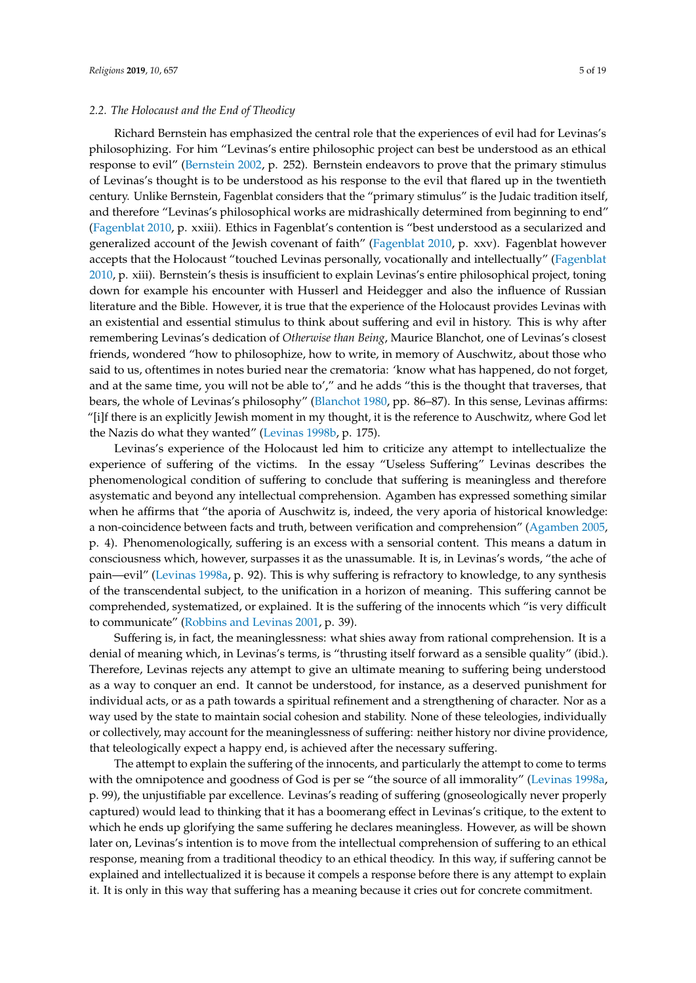### *2.2. The Holocaust and the End of Theodicy*

Richard Bernstein has emphasized the central role that the experiences of evil had for Levinas's philosophizing. For him "Levinas's entire philosophic project can best be understood as an ethical response to evil" [\(Bernstein](#page-16-5) [2002,](#page-16-5) p. 252). Bernstein endeavors to prove that the primary stimulus of Levinas's thought is to be understood as his response to the evil that flared up in the twentieth century. Unlike Bernstein, Fagenblat considers that the "primary stimulus" is the Judaic tradition itself, and therefore "Levinas's philosophical works are midrashically determined from beginning to end" [\(Fagenblat](#page-16-6) [2010,](#page-16-6) p. xxiii). Ethics in Fagenblat's contention is "best understood as a secularized and generalized account of the Jewish covenant of faith" [\(Fagenblat](#page-16-6) [2010,](#page-16-6) p. xxv). Fagenblat however accepts that the Holocaust "touched Levinas personally, vocationally and intellectually" [\(Fagenblat](#page-16-6) [2010,](#page-16-6) p. xiii). Bernstein's thesis is insufficient to explain Levinas's entire philosophical project, toning down for example his encounter with Husserl and Heidegger and also the influence of Russian literature and the Bible. However, it is true that the experience of the Holocaust provides Levinas with an existential and essential stimulus to think about suffering and evil in history. This is why after remembering Levinas's dedication of *Otherwise than Being*, Maurice Blanchot, one of Levinas's closest friends, wondered "how to philosophize, how to write, in memory of Auschwitz, about those who said to us, oftentimes in notes buried near the crematoria: 'know what has happened, do not forget, and at the same time, you will not be able to'," and he adds "this is the thought that traverses, that bears, the whole of Levinas's philosophy" [\(Blanchot](#page-16-7) [1980,](#page-16-7) pp. 86–87). In this sense, Levinas affirms: "[i]f there is an explicitly Jewish moment in my thought, it is the reference to Auschwitz, where God let the Nazis do what they wanted" [\(Levinas](#page-17-12) [1998b,](#page-17-12) p. 175).

Levinas's experience of the Holocaust led him to criticize any attempt to intellectualize the experience of suffering of the victims. In the essay "Useless Suffering" Levinas describes the phenomenological condition of suffering to conclude that suffering is meaningless and therefore asystematic and beyond any intellectual comprehension. Agamben has expressed something similar when he affirms that "the aporia of Auschwitz is, indeed, the very aporia of historical knowledge: a non-coincidence between facts and truth, between verification and comprehension" [\(Agamben](#page-16-8) [2005,](#page-16-8) p. 4). Phenomenologically, suffering is an excess with a sensorial content. This means a datum in consciousness which, however, surpasses it as the unassumable. It is, in Levinas's words, "the ache of pain—evil" [\(Levinas](#page-17-8) [1998a,](#page-17-8) p. 92). This is why suffering is refractory to knowledge, to any synthesis of the transcendental subject, to the unification in a horizon of meaning. This suffering cannot be comprehended, systematized, or explained. It is the suffering of the innocents which "is very difficult to communicate" [\(Robbins and Levinas](#page-17-10) [2001,](#page-17-10) p. 39).

Suffering is, in fact, the meaninglessness: what shies away from rational comprehension. It is a denial of meaning which, in Levinas's terms, is "thrusting itself forward as a sensible quality" (ibid.). Therefore, Levinas rejects any attempt to give an ultimate meaning to suffering being understood as a way to conquer an end. It cannot be understood, for instance, as a deserved punishment for individual acts, or as a path towards a spiritual refinement and a strengthening of character. Nor as a way used by the state to maintain social cohesion and stability. None of these teleologies, individually or collectively, may account for the meaninglessness of suffering: neither history nor divine providence, that teleologically expect a happy end, is achieved after the necessary suffering.

The attempt to explain the suffering of the innocents, and particularly the attempt to come to terms with the omnipotence and goodness of God is per se "the source of all immorality" [\(Levinas](#page-17-8) [1998a,](#page-17-8) p. 99), the unjustifiable par excellence. Levinas's reading of suffering (gnoseologically never properly captured) would lead to thinking that it has a boomerang effect in Levinas's critique, to the extent to which he ends up glorifying the same suffering he declares meaningless. However, as will be shown later on, Levinas's intention is to move from the intellectual comprehension of suffering to an ethical response, meaning from a traditional theodicy to an ethical theodicy. In this way, if suffering cannot be explained and intellectualized it is because it compels a response before there is any attempt to explain it. It is only in this way that suffering has a meaning because it cries out for concrete commitment.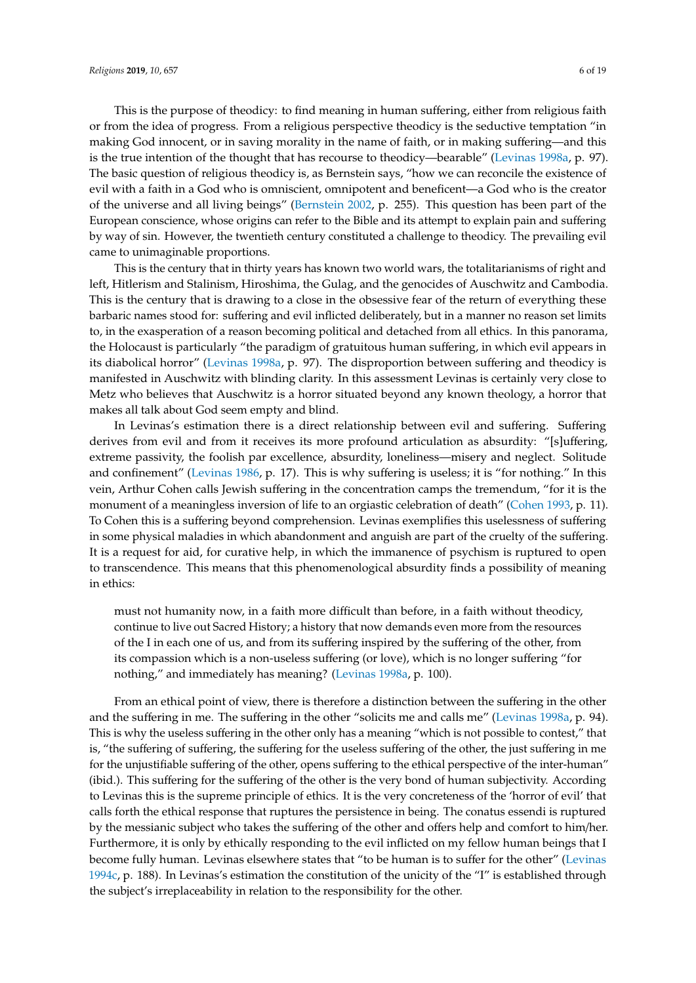This is the purpose of theodicy: to find meaning in human suffering, either from religious faith or from the idea of progress. From a religious perspective theodicy is the seductive temptation "in making God innocent, or in saving morality in the name of faith, or in making suffering—and this is the true intention of the thought that has recourse to theodicy—bearable" [\(Levinas](#page-17-8) [1998a,](#page-17-8) p. 97). The basic question of religious theodicy is, as Bernstein says, "how we can reconcile the existence of evil with a faith in a God who is omniscient, omnipotent and beneficent—a God who is the creator of the universe and all living beings" [\(Bernstein](#page-16-5) [2002,](#page-16-5) p. 255). This question has been part of the European conscience, whose origins can refer to the Bible and its attempt to explain pain and suffering by way of sin. However, the twentieth century constituted a challenge to theodicy. The prevailing evil came to unimaginable proportions.

This is the century that in thirty years has known two world wars, the totalitarianisms of right and left, Hitlerism and Stalinism, Hiroshima, the Gulag, and the genocides of Auschwitz and Cambodia. This is the century that is drawing to a close in the obsessive fear of the return of everything these barbaric names stood for: suffering and evil inflicted deliberately, but in a manner no reason set limits to, in the exasperation of a reason becoming political and detached from all ethics. In this panorama, the Holocaust is particularly "the paradigm of gratuitous human suffering, in which evil appears in its diabolical horror" [\(Levinas](#page-17-8) [1998a,](#page-17-8) p. 97). The disproportion between suffering and theodicy is manifested in Auschwitz with blinding clarity. In this assessment Levinas is certainly very close to Metz who believes that Auschwitz is a horror situated beyond any known theology, a horror that makes all talk about God seem empty and blind.

In Levinas's estimation there is a direct relationship between evil and suffering. Suffering derives from evil and from it receives its more profound articulation as absurdity: "[s]uffering, extreme passivity, the foolish par excellence, absurdity, loneliness—misery and neglect. Solitude and confinement" [\(Levinas](#page-16-9) [1986,](#page-16-9) p. 17). This is why suffering is useless; it is "for nothing." In this vein, Arthur Cohen calls Jewish suffering in the concentration camps the tremendum, "for it is the monument of a meaningless inversion of life to an orgiastic celebration of death" [\(Cohen](#page-16-10) [1993,](#page-16-10) p. 11). To Cohen this is a suffering beyond comprehension. Levinas exemplifies this uselessness of suffering in some physical maladies in which abandonment and anguish are part of the cruelty of the suffering. It is a request for aid, for curative help, in which the immanence of psychism is ruptured to open to transcendence. This means that this phenomenological absurdity finds a possibility of meaning in ethics:

must not humanity now, in a faith more difficult than before, in a faith without theodicy, continue to live out Sacred History; a history that now demands even more from the resources of the I in each one of us, and from its suffering inspired by the suffering of the other, from its compassion which is a non-useless suffering (or love), which is no longer suffering "for nothing," and immediately has meaning? [\(Levinas](#page-17-8) [1998a,](#page-17-8) p. 100).

From an ethical point of view, there is therefore a distinction between the suffering in the other and the suffering in me. The suffering in the other "solicits me and calls me" [\(Levinas](#page-17-8) [1998a,](#page-17-8) p. 94). This is why the useless suffering in the other only has a meaning "which is not possible to contest," that is, "the suffering of suffering, the suffering for the useless suffering of the other, the just suffering in me for the unjustifiable suffering of the other, opens suffering to the ethical perspective of the inter-human" (ibid.). This suffering for the suffering of the other is the very bond of human subjectivity. According to Levinas this is the supreme principle of ethics. It is the very concreteness of the 'horror of evil' that calls forth the ethical response that ruptures the persistence in being. The conatus essendi is ruptured by the messianic subject who takes the suffering of the other and offers help and comfort to him/her. Furthermore, it is only by ethically responding to the evil inflicted on my fellow human beings that I become fully human. Levinas elsewhere states that "to be human is to suffer for the other" [\(Levinas](#page-17-13) [1994c,](#page-17-13) p. 188). In Levinas's estimation the constitution of the unicity of the "I" is established through the subject's irreplaceability in relation to the responsibility for the other.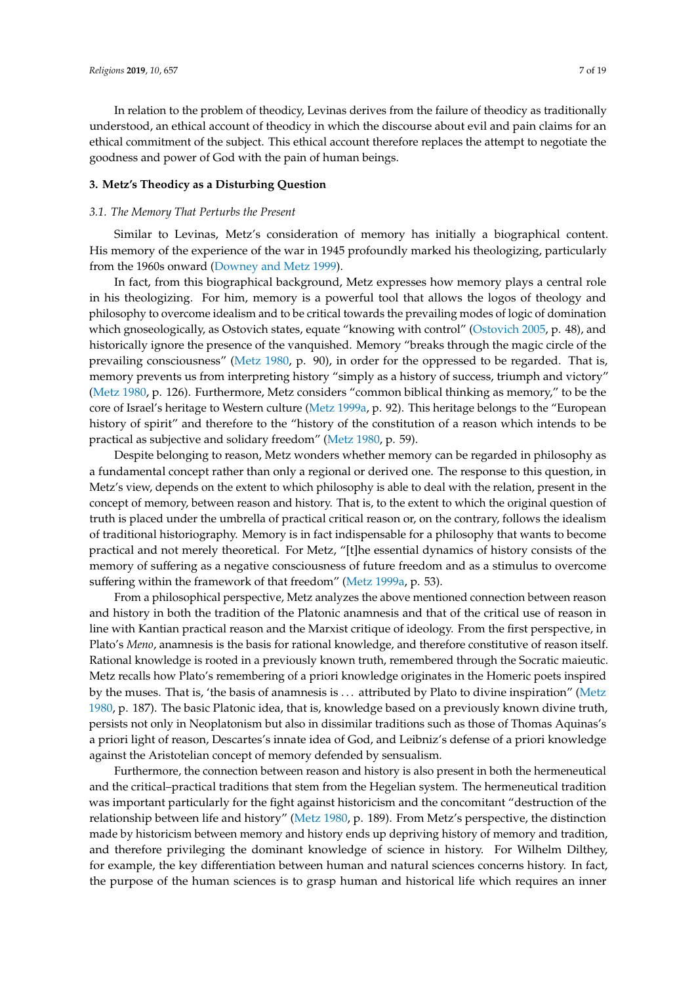In relation to the problem of theodicy, Levinas derives from the failure of theodicy as traditionally understood, an ethical account of theodicy in which the discourse about evil and pain claims for an ethical commitment of the subject. This ethical account therefore replaces the attempt to negotiate the goodness and power of God with the pain of human beings.

#### **3. Metz's Theodicy as a Disturbing Question**

### *3.1. The Memory That Perturbs the Present*

Similar to Levinas, Metz's consideration of memory has initially a biographical content. His memory of the experience of the war in 1945 profoundly marked his theologizing, particularly from the 1960s onward [\(Downey and Metz](#page-16-11) [1999\)](#page-16-11).

In fact, from this biographical background, Metz expresses how memory plays a central role in his theologizing. For him, memory is a powerful tool that allows the logos of theology and philosophy to overcome idealism and to be critical towards the prevailing modes of logic of domination which gnoseologically, as Ostovich states, equate "knowing with control" [\(Ostovich](#page-17-14) [2005,](#page-17-14) p. 48), and historically ignore the presence of the vanquished. Memory "breaks through the magic circle of the prevailing consciousness" [\(Metz](#page-17-15) [1980,](#page-17-15) p. 90), in order for the oppressed to be regarded. That is, memory prevents us from interpreting history "simply as a history of success, triumph and victory" [\(Metz](#page-17-15) [1980,](#page-17-15) p. 126). Furthermore, Metz considers "common biblical thinking as memory," to be the core of Israel's heritage to Western culture [\(Metz](#page-17-16) [1999a,](#page-17-16) p. 92). This heritage belongs to the "European history of spirit" and therefore to the "history of the constitution of a reason which intends to be practical as subjective and solidary freedom" [\(Metz](#page-17-15) [1980,](#page-17-15) p. 59).

Despite belonging to reason, Metz wonders whether memory can be regarded in philosophy as a fundamental concept rather than only a regional or derived one. The response to this question, in Metz's view, depends on the extent to which philosophy is able to deal with the relation, present in the concept of memory, between reason and history. That is, to the extent to which the original question of truth is placed under the umbrella of practical critical reason or, on the contrary, follows the idealism of traditional historiography. Memory is in fact indispensable for a philosophy that wants to become practical and not merely theoretical. For Metz, "[t]he essential dynamics of history consists of the memory of suffering as a negative consciousness of future freedom and as a stimulus to overcome suffering within the framework of that freedom" [\(Metz](#page-17-16) [1999a,](#page-17-16) p. 53).

From a philosophical perspective, Metz analyzes the above mentioned connection between reason and history in both the tradition of the Platonic anamnesis and that of the critical use of reason in line with Kantian practical reason and the Marxist critique of ideology. From the first perspective, in Plato's *Meno*, anamnesis is the basis for rational knowledge, and therefore constitutive of reason itself. Rational knowledge is rooted in a previously known truth, remembered through the Socratic maieutic. Metz recalls how Plato's remembering of a priori knowledge originates in the Homeric poets inspired by the muses. That is, 'the basis of anamnesis is . . . attributed by Plato to divine inspiration" [\(Metz](#page-17-15) [1980,](#page-17-15) p. 187). The basic Platonic idea, that is, knowledge based on a previously known divine truth, persists not only in Neoplatonism but also in dissimilar traditions such as those of Thomas Aquinas's a priori light of reason, Descartes's innate idea of God, and Leibniz's defense of a priori knowledge against the Aristotelian concept of memory defended by sensualism.

Furthermore, the connection between reason and history is also present in both the hermeneutical and the critical–practical traditions that stem from the Hegelian system. The hermeneutical tradition was important particularly for the fight against historicism and the concomitant "destruction of the relationship between life and history" [\(Metz](#page-17-15) [1980,](#page-17-15) p. 189). From Metz's perspective, the distinction made by historicism between memory and history ends up depriving history of memory and tradition, and therefore privileging the dominant knowledge of science in history. For Wilhelm Dilthey, for example, the key differentiation between human and natural sciences concerns history. In fact, the purpose of the human sciences is to grasp human and historical life which requires an inner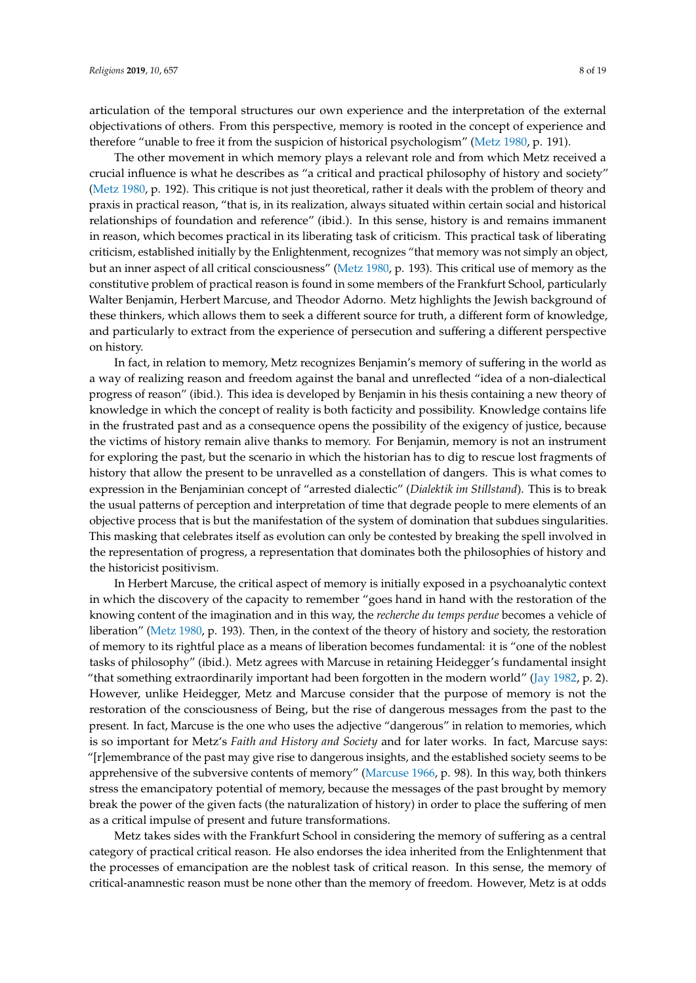articulation of the temporal structures our own experience and the interpretation of the external objectivations of others. From this perspective, memory is rooted in the concept of experience and therefore "unable to free it from the suspicion of historical psychologism" [\(Metz](#page-17-15) [1980,](#page-17-15) p. 191).

The other movement in which memory plays a relevant role and from which Metz received a crucial influence is what he describes as "a critical and practical philosophy of history and society" [\(Metz](#page-17-15) [1980,](#page-17-15) p. 192). This critique is not just theoretical, rather it deals with the problem of theory and praxis in practical reason, "that is, in its realization, always situated within certain social and historical relationships of foundation and reference" (ibid.). In this sense, history is and remains immanent in reason, which becomes practical in its liberating task of criticism. This practical task of liberating criticism, established initially by the Enlightenment, recognizes "that memory was not simply an object, but an inner aspect of all critical consciousness" [\(Metz](#page-17-15) [1980,](#page-17-15) p. 193). This critical use of memory as the constitutive problem of practical reason is found in some members of the Frankfurt School, particularly Walter Benjamin, Herbert Marcuse, and Theodor Adorno. Metz highlights the Jewish background of these thinkers, which allows them to seek a different source for truth, a different form of knowledge, and particularly to extract from the experience of persecution and suffering a different perspective on history.

In fact, in relation to memory, Metz recognizes Benjamin's memory of suffering in the world as a way of realizing reason and freedom against the banal and unreflected "idea of a non-dialectical progress of reason" (ibid.). This idea is developed by Benjamin in his thesis containing a new theory of knowledge in which the concept of reality is both facticity and possibility. Knowledge contains life in the frustrated past and as a consequence opens the possibility of the exigency of justice, because the victims of history remain alive thanks to memory. For Benjamin, memory is not an instrument for exploring the past, but the scenario in which the historian has to dig to rescue lost fragments of history that allow the present to be unravelled as a constellation of dangers. This is what comes to expression in the Benjaminian concept of "arrested dialectic" (*Dialektik im Stillstand*). This is to break the usual patterns of perception and interpretation of time that degrade people to mere elements of an objective process that is but the manifestation of the system of domination that subdues singularities. This masking that celebrates itself as evolution can only be contested by breaking the spell involved in the representation of progress, a representation that dominates both the philosophies of history and the historicist positivism.

In Herbert Marcuse, the critical aspect of memory is initially exposed in a psychoanalytic context in which the discovery of the capacity to remember "goes hand in hand with the restoration of the knowing content of the imagination and in this way, the *recherche du temps perdue* becomes a vehicle of liberation" [\(Metz](#page-17-15) [1980,](#page-17-15) p. 193). Then, in the context of the theory of history and society, the restoration of memory to its rightful place as a means of liberation becomes fundamental: it is "one of the noblest tasks of philosophy" (ibid.). Metz agrees with Marcuse in retaining Heidegger's fundamental insight "that something extraordinarily important had been forgotten in the modern world" [\(Jay](#page-16-12) [1982,](#page-16-12) p. 2). However, unlike Heidegger, Metz and Marcuse consider that the purpose of memory is not the restoration of the consciousness of Being, but the rise of dangerous messages from the past to the present. In fact, Marcuse is the one who uses the adjective "dangerous" in relation to memories, which is so important for Metz's *Faith and History and Society* and for later works. In fact, Marcuse says: "[r]emembrance of the past may give rise to dangerous insights, and the established society seems to be apprehensive of the subversive contents of memory" [\(Marcuse](#page-17-17) [1966,](#page-17-17) p. 98). In this way, both thinkers stress the emancipatory potential of memory, because the messages of the past brought by memory break the power of the given facts (the naturalization of history) in order to place the suffering of men as a critical impulse of present and future transformations.

Metz takes sides with the Frankfurt School in considering the memory of suffering as a central category of practical critical reason. He also endorses the idea inherited from the Enlightenment that the processes of emancipation are the noblest task of critical reason. In this sense, the memory of critical-anamnestic reason must be none other than the memory of freedom. However, Metz is at odds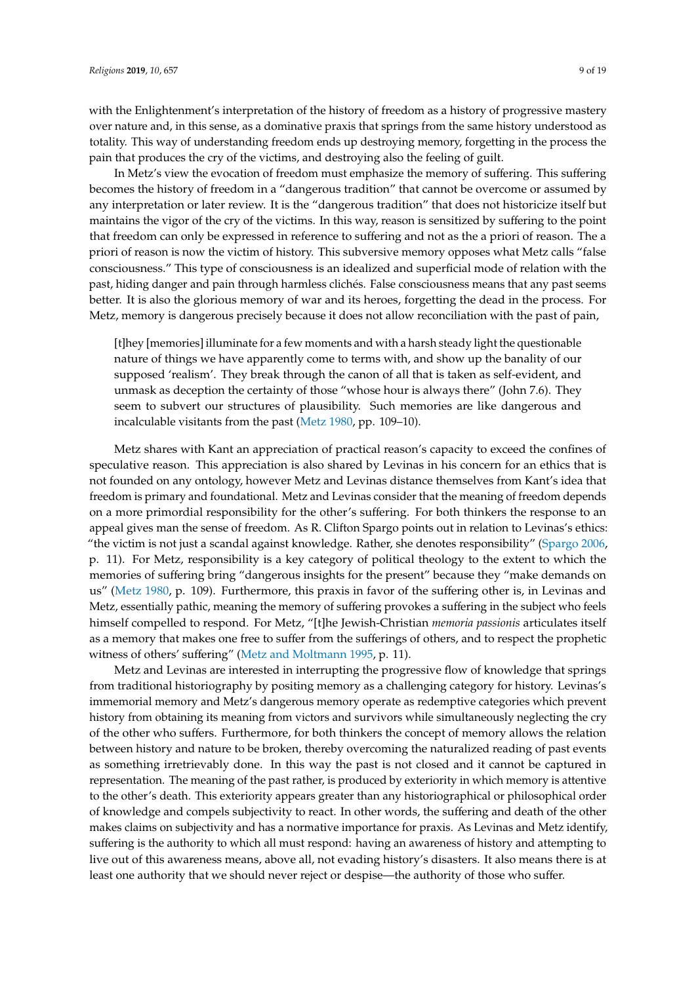with the Enlightenment's interpretation of the history of freedom as a history of progressive mastery over nature and, in this sense, as a dominative praxis that springs from the same history understood as

pain that produces the cry of the victims, and destroying also the feeling of guilt. In Metz's view the evocation of freedom must emphasize the memory of suffering. This suffering becomes the history of freedom in a "dangerous tradition" that cannot be overcome or assumed by any interpretation or later review. It is the "dangerous tradition" that does not historicize itself but maintains the vigor of the cry of the victims. In this way, reason is sensitized by suffering to the point that freedom can only be expressed in reference to suffering and not as the a priori of reason. The a priori of reason is now the victim of history. This subversive memory opposes what Metz calls "false consciousness." This type of consciousness is an idealized and superficial mode of relation with the past, hiding danger and pain through harmless clichés. False consciousness means that any past seems better. It is also the glorious memory of war and its heroes, forgetting the dead in the process. For Metz, memory is dangerous precisely because it does not allow reconciliation with the past of pain,

totality. This way of understanding freedom ends up destroying memory, forgetting in the process the

[t]hey [memories] illuminate for a few moments and with a harsh steady light the questionable nature of things we have apparently come to terms with, and show up the banality of our supposed 'realism'. They break through the canon of all that is taken as self-evident, and unmask as deception the certainty of those "whose hour is always there" (John 7.6). They seem to subvert our structures of plausibility. Such memories are like dangerous and incalculable visitants from the past [\(Metz](#page-17-15) [1980,](#page-17-15) pp. 109–10).

Metz shares with Kant an appreciation of practical reason's capacity to exceed the confines of speculative reason. This appreciation is also shared by Levinas in his concern for an ethics that is not founded on any ontology, however Metz and Levinas distance themselves from Kant's idea that freedom is primary and foundational. Metz and Levinas consider that the meaning of freedom depends on a more primordial responsibility for the other's suffering. For both thinkers the response to an appeal gives man the sense of freedom. As R. Clifton Spargo points out in relation to Levinas's ethics: "the victim is not just a scandal against knowledge. Rather, she denotes responsibility" [\(Spargo](#page-18-0) [2006,](#page-18-0) p. 11). For Metz, responsibility is a key category of political theology to the extent to which the memories of suffering bring "dangerous insights for the present" because they "make demands on us" [\(Metz](#page-17-15) [1980,](#page-17-15) p. 109). Furthermore, this praxis in favor of the suffering other is, in Levinas and Metz, essentially pathic, meaning the memory of suffering provokes a suffering in the subject who feels himself compelled to respond. For Metz, "[t]he Jewish-Christian *memoria passionis* articulates itself as a memory that makes one free to suffer from the sufferings of others, and to respect the prophetic witness of others' suffering" [\(Metz and Moltmann](#page-17-18) [1995,](#page-17-18) p. 11).

Metz and Levinas are interested in interrupting the progressive flow of knowledge that springs from traditional historiography by positing memory as a challenging category for history. Levinas's immemorial memory and Metz's dangerous memory operate as redemptive categories which prevent history from obtaining its meaning from victors and survivors while simultaneously neglecting the cry of the other who suffers. Furthermore, for both thinkers the concept of memory allows the relation between history and nature to be broken, thereby overcoming the naturalized reading of past events as something irretrievably done. In this way the past is not closed and it cannot be captured in representation. The meaning of the past rather, is produced by exteriority in which memory is attentive to the other's death. This exteriority appears greater than any historiographical or philosophical order of knowledge and compels subjectivity to react. In other words, the suffering and death of the other makes claims on subjectivity and has a normative importance for praxis. As Levinas and Metz identify, suffering is the authority to which all must respond: having an awareness of history and attempting to live out of this awareness means, above all, not evading history's disasters. It also means there is at least one authority that we should never reject or despise—the authority of those who suffer.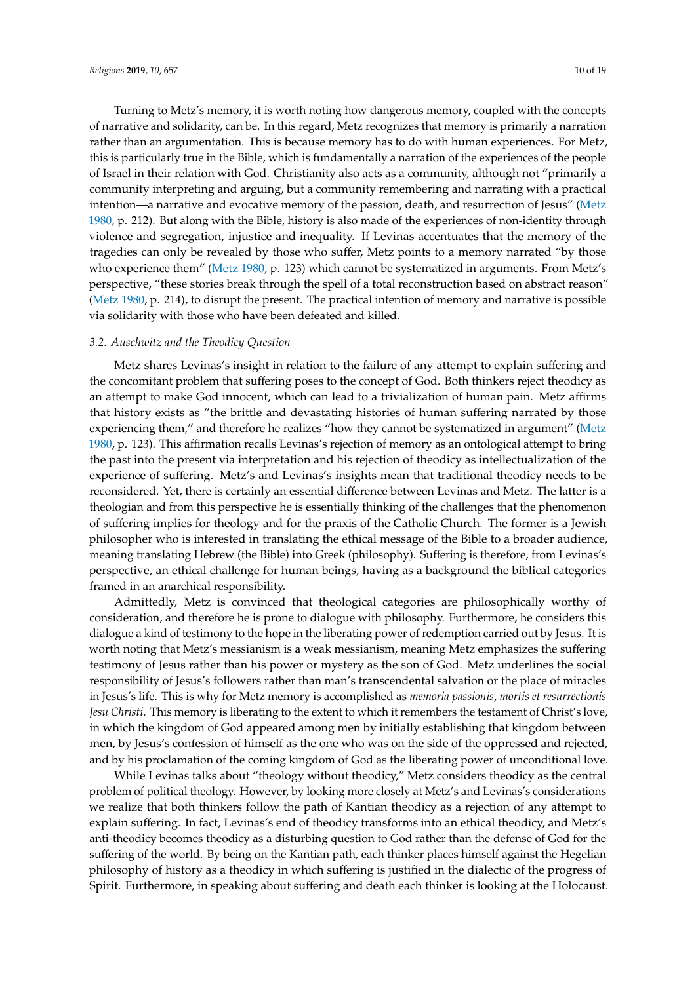Turning to Metz's memory, it is worth noting how dangerous memory, coupled with the concepts of narrative and solidarity, can be. In this regard, Metz recognizes that memory is primarily a narration rather than an argumentation. This is because memory has to do with human experiences. For Metz, this is particularly true in the Bible, which is fundamentally a narration of the experiences of the people of Israel in their relation with God. Christianity also acts as a community, although not "primarily a community interpreting and arguing, but a community remembering and narrating with a practical intention—a narrative and evocative memory of the passion, death, and resurrection of Jesus" [\(Metz](#page-17-15) [1980,](#page-17-15) p. 212). But along with the Bible, history is also made of the experiences of non-identity through violence and segregation, injustice and inequality. If Levinas accentuates that the memory of the tragedies can only be revealed by those who suffer, Metz points to a memory narrated "by those who experience them" [\(Metz](#page-17-15) [1980,](#page-17-15) p. 123) which cannot be systematized in arguments. From Metz's perspective, "these stories break through the spell of a total reconstruction based on abstract reason" [\(Metz](#page-17-15) [1980,](#page-17-15) p. 214), to disrupt the present. The practical intention of memory and narrative is possible via solidarity with those who have been defeated and killed.

#### *3.2. Auschwitz and the Theodicy Question*

Metz shares Levinas's insight in relation to the failure of any attempt to explain suffering and the concomitant problem that suffering poses to the concept of God. Both thinkers reject theodicy as an attempt to make God innocent, which can lead to a trivialization of human pain. Metz affirms that history exists as "the brittle and devastating histories of human suffering narrated by those experiencing them," and therefore he realizes "how they cannot be systematized in argument" [\(Metz](#page-17-15) [1980,](#page-17-15) p. 123). This affirmation recalls Levinas's rejection of memory as an ontological attempt to bring the past into the present via interpretation and his rejection of theodicy as intellectualization of the experience of suffering. Metz's and Levinas's insights mean that traditional theodicy needs to be reconsidered. Yet, there is certainly an essential difference between Levinas and Metz. The latter is a theologian and from this perspective he is essentially thinking of the challenges that the phenomenon of suffering implies for theology and for the praxis of the Catholic Church. The former is a Jewish philosopher who is interested in translating the ethical message of the Bible to a broader audience, meaning translating Hebrew (the Bible) into Greek (philosophy). Suffering is therefore, from Levinas's perspective, an ethical challenge for human beings, having as a background the biblical categories framed in an anarchical responsibility.

Admittedly, Metz is convinced that theological categories are philosophically worthy of consideration, and therefore he is prone to dialogue with philosophy. Furthermore, he considers this dialogue a kind of testimony to the hope in the liberating power of redemption carried out by Jesus. It is worth noting that Metz's messianism is a weak messianism, meaning Metz emphasizes the suffering testimony of Jesus rather than his power or mystery as the son of God. Metz underlines the social responsibility of Jesus's followers rather than man's transcendental salvation or the place of miracles in Jesus's life. This is why for Metz memory is accomplished as *memoria passionis*, *mortis et resurrectionis Jesu Christi*. This memory is liberating to the extent to which it remembers the testament of Christ's love, in which the kingdom of God appeared among men by initially establishing that kingdom between men, by Jesus's confession of himself as the one who was on the side of the oppressed and rejected, and by his proclamation of the coming kingdom of God as the liberating power of unconditional love.

While Levinas talks about "theology without theodicy," Metz considers theodicy as the central problem of political theology. However, by looking more closely at Metz's and Levinas's considerations we realize that both thinkers follow the path of Kantian theodicy as a rejection of any attempt to explain suffering. In fact, Levinas's end of theodicy transforms into an ethical theodicy, and Metz's anti-theodicy becomes theodicy as a disturbing question to God rather than the defense of God for the suffering of the world. By being on the Kantian path, each thinker places himself against the Hegelian philosophy of history as a theodicy in which suffering is justified in the dialectic of the progress of Spirit. Furthermore, in speaking about suffering and death each thinker is looking at the Holocaust.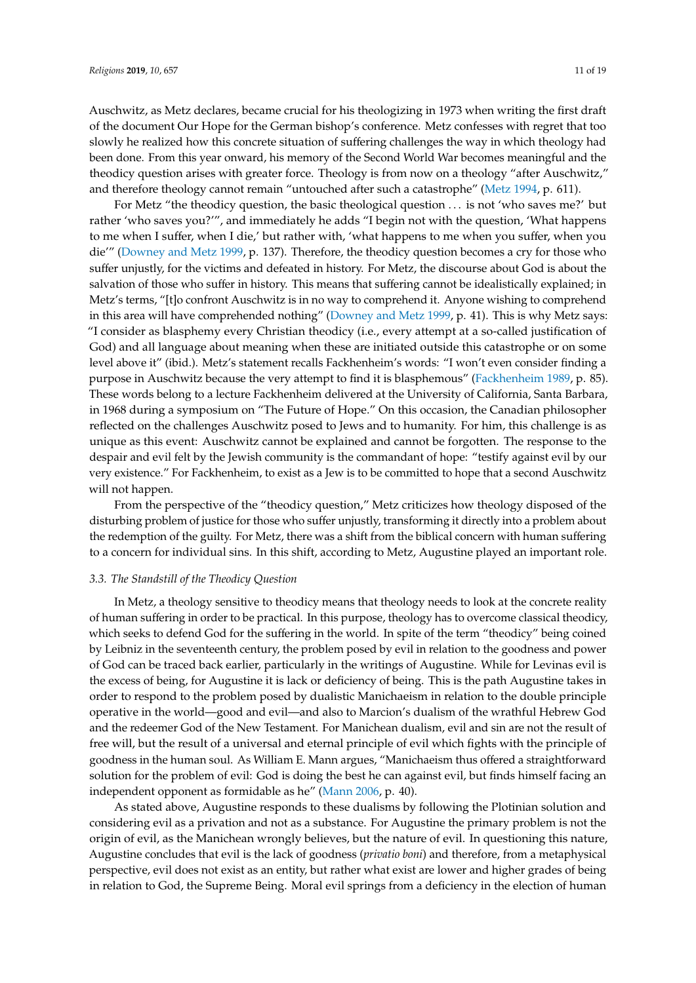Auschwitz, as Metz declares, became crucial for his theologizing in 1973 when writing the first draft of the document Our Hope for the German bishop's conference. Metz confesses with regret that too slowly he realized how this concrete situation of suffering challenges the way in which theology had been done. From this year onward, his memory of the Second World War becomes meaningful and the theodicy question arises with greater force. Theology is from now on a theology "after Auschwitz," and therefore theology cannot remain "untouched after such a catastrophe" [\(Metz](#page-17-19) [1994,](#page-17-19) p. 611).

For Metz "the theodicy question, the basic theological question . . . is not 'who saves me?' but rather 'who saves you?'", and immediately he adds "I begin not with the question, 'What happens to me when I suffer, when I die,' but rather with, 'what happens to me when you suffer, when you die'" [\(Downey and Metz](#page-16-11) [1999,](#page-16-11) p. 137). Therefore, the theodicy question becomes a cry for those who suffer unjustly, for the victims and defeated in history. For Metz, the discourse about God is about the salvation of those who suffer in history. This means that suffering cannot be idealistically explained; in Metz's terms, "[t]o confront Auschwitz is in no way to comprehend it. Anyone wishing to comprehend in this area will have comprehended nothing" [\(Downey and Metz](#page-16-11) [1999,](#page-16-11) p. 41). This is why Metz says: "I consider as blasphemy every Christian theodicy (i.e., every attempt at a so-called justification of God) and all language about meaning when these are initiated outside this catastrophe or on some level above it" (ibid.). Metz's statement recalls Fackhenheim's words: "I won't even consider finding a purpose in Auschwitz because the very attempt to find it is blasphemous" [\(Fackhenheim](#page-16-13) [1989,](#page-16-13) p. 85). These words belong to a lecture Fackhenheim delivered at the University of California, Santa Barbara, in 1968 during a symposium on "The Future of Hope." On this occasion, the Canadian philosopher reflected on the challenges Auschwitz posed to Jews and to humanity. For him, this challenge is as unique as this event: Auschwitz cannot be explained and cannot be forgotten. The response to the despair and evil felt by the Jewish community is the commandant of hope: "testify against evil by our very existence." For Fackhenheim, to exist as a Jew is to be committed to hope that a second Auschwitz will not happen.

From the perspective of the "theodicy question," Metz criticizes how theology disposed of the disturbing problem of justice for those who suffer unjustly, transforming it directly into a problem about the redemption of the guilty. For Metz, there was a shift from the biblical concern with human suffering to a concern for individual sins. In this shift, according to Metz, Augustine played an important role.

## *3.3. The Standstill of the Theodicy Question*

In Metz, a theology sensitive to theodicy means that theology needs to look at the concrete reality of human suffering in order to be practical. In this purpose, theology has to overcome classical theodicy, which seeks to defend God for the suffering in the world. In spite of the term "theodicy" being coined by Leibniz in the seventeenth century, the problem posed by evil in relation to the goodness and power of God can be traced back earlier, particularly in the writings of Augustine. While for Levinas evil is the excess of being, for Augustine it is lack or deficiency of being. This is the path Augustine takes in order to respond to the problem posed by dualistic Manichaeism in relation to the double principle operative in the world—good and evil—and also to Marcion's dualism of the wrathful Hebrew God and the redeemer God of the New Testament. For Manichean dualism, evil and sin are not the result of free will, but the result of a universal and eternal principle of evil which fights with the principle of goodness in the human soul. As William E. Mann argues, "Manichaeism thus offered a straightforward solution for the problem of evil: God is doing the best he can against evil, but finds himself facing an independent opponent as formidable as he" [\(Mann](#page-17-20) [2006,](#page-17-20) p. 40).

As stated above, Augustine responds to these dualisms by following the Plotinian solution and considering evil as a privation and not as a substance. For Augustine the primary problem is not the origin of evil, as the Manichean wrongly believes, but the nature of evil. In questioning this nature, Augustine concludes that evil is the lack of goodness (*privatio boni*) and therefore, from a metaphysical perspective, evil does not exist as an entity, but rather what exist are lower and higher grades of being in relation to God, the Supreme Being. Moral evil springs from a deficiency in the election of human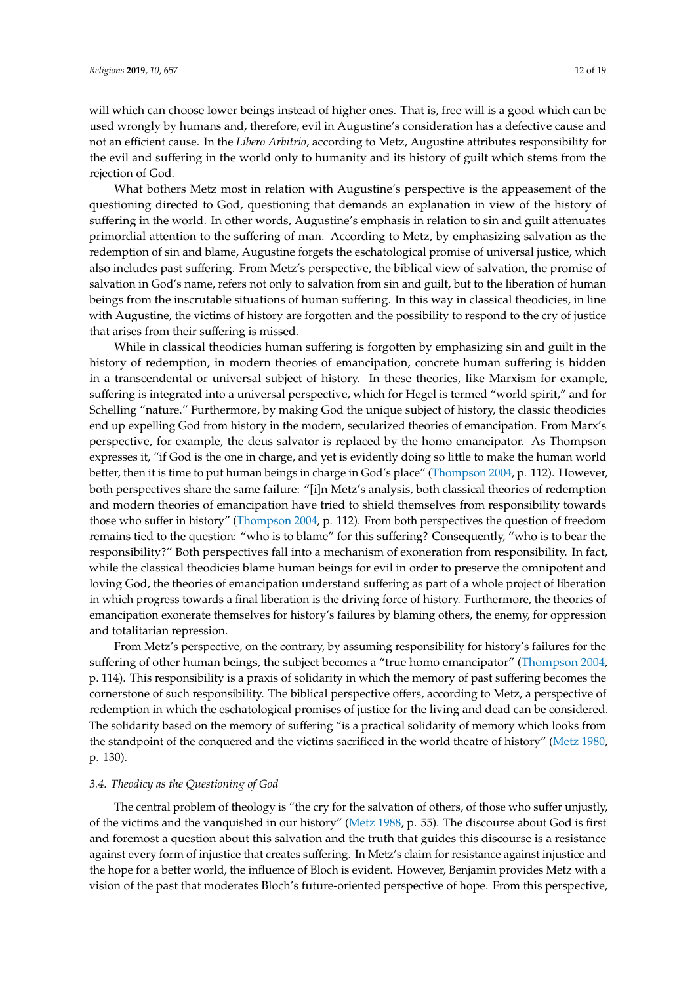will which can choose lower beings instead of higher ones. That is, free will is a good which can be used wrongly by humans and, therefore, evil in Augustine's consideration has a defective cause and not an efficient cause. In the *Libero Arbitrio*, according to Metz, Augustine attributes responsibility for the evil and suffering in the world only to humanity and its history of guilt which stems from the rejection of God.

What bothers Metz most in relation with Augustine's perspective is the appeasement of the questioning directed to God, questioning that demands an explanation in view of the history of suffering in the world. In other words, Augustine's emphasis in relation to sin and guilt attenuates primordial attention to the suffering of man. According to Metz, by emphasizing salvation as the redemption of sin and blame, Augustine forgets the eschatological promise of universal justice, which also includes past suffering. From Metz's perspective, the biblical view of salvation, the promise of salvation in God's name, refers not only to salvation from sin and guilt, but to the liberation of human beings from the inscrutable situations of human suffering. In this way in classical theodicies, in line with Augustine, the victims of history are forgotten and the possibility to respond to the cry of justice that arises from their suffering is missed.

While in classical theodicies human suffering is forgotten by emphasizing sin and guilt in the history of redemption, in modern theories of emancipation, concrete human suffering is hidden in a transcendental or universal subject of history. In these theories, like Marxism for example, suffering is integrated into a universal perspective, which for Hegel is termed "world spirit," and for Schelling "nature." Furthermore, by making God the unique subject of history, the classic theodicies end up expelling God from history in the modern, secularized theories of emancipation. From Marx's perspective, for example, the deus salvator is replaced by the homo emancipator. As Thompson expresses it, "if God is the one in charge, and yet is evidently doing so little to make the human world better, then it is time to put human beings in charge in God's place" [\(Thompson](#page-18-1) [2004,](#page-18-1) p. 112). However, both perspectives share the same failure: "[i]n Metz's analysis, both classical theories of redemption and modern theories of emancipation have tried to shield themselves from responsibility towards those who suffer in history" [\(Thompson](#page-18-1) [2004,](#page-18-1) p. 112). From both perspectives the question of freedom remains tied to the question: "who is to blame" for this suffering? Consequently, "who is to bear the responsibility?" Both perspectives fall into a mechanism of exoneration from responsibility. In fact, while the classical theodicies blame human beings for evil in order to preserve the omnipotent and loving God, the theories of emancipation understand suffering as part of a whole project of liberation in which progress towards a final liberation is the driving force of history. Furthermore, the theories of emancipation exonerate themselves for history's failures by blaming others, the enemy, for oppression and totalitarian repression.

From Metz's perspective, on the contrary, by assuming responsibility for history's failures for the suffering of other human beings, the subject becomes a "true homo emancipator" [\(Thompson](#page-18-1) [2004,](#page-18-1) p. 114). This responsibility is a praxis of solidarity in which the memory of past suffering becomes the cornerstone of such responsibility. The biblical perspective offers, according to Metz, a perspective of redemption in which the eschatological promises of justice for the living and dead can be considered. The solidarity based on the memory of suffering "is a practical solidarity of memory which looks from the standpoint of the conquered and the victims sacrificed in the world theatre of history" [\(Metz](#page-17-15) [1980,](#page-17-15) p. 130).

## *3.4. Theodicy as the Questioning of God*

The central problem of theology is "the cry for the salvation of others, of those who suffer unjustly, of the victims and the vanquished in our history" [\(Metz](#page-17-21) [1988,](#page-17-21) p. 55). The discourse about God is first and foremost a question about this salvation and the truth that guides this discourse is a resistance against every form of injustice that creates suffering. In Metz's claim for resistance against injustice and the hope for a better world, the influence of Bloch is evident. However, Benjamin provides Metz with a vision of the past that moderates Bloch's future-oriented perspective of hope. From this perspective,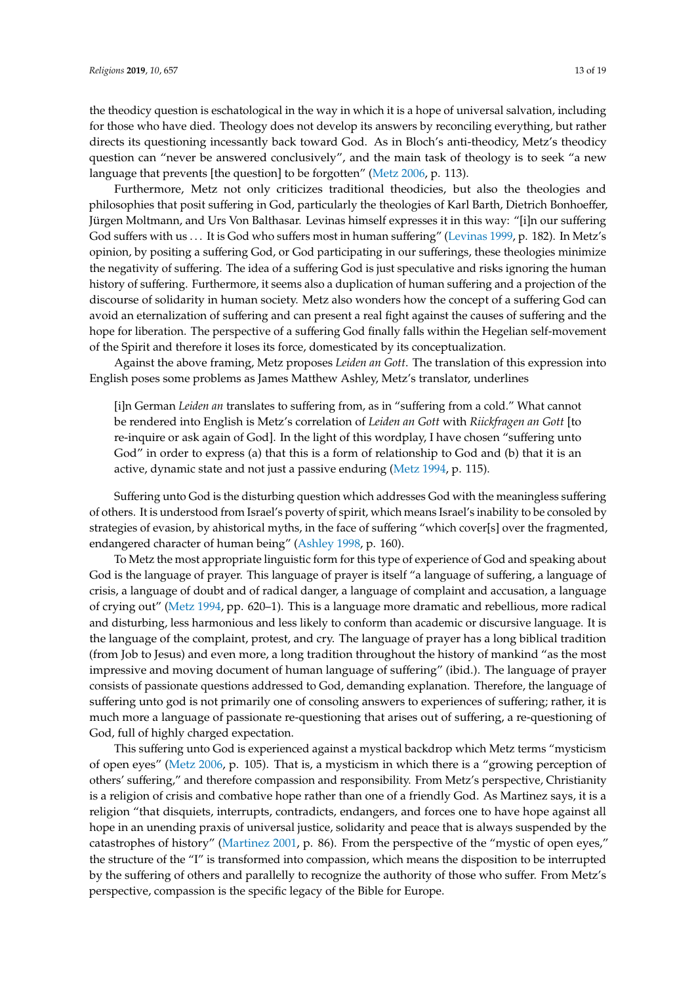the theodicy question is eschatological in the way in which it is a hope of universal salvation, including for those who have died. Theology does not develop its answers by reconciling everything, but rather directs its questioning incessantly back toward God. As in Bloch's anti-theodicy, Metz's theodicy question can "never be answered conclusively", and the main task of theology is to seek "a new language that prevents [the question] to be forgotten" [\(Metz](#page-17-22) [2006,](#page-17-22) p. 113).

Furthermore, Metz not only criticizes traditional theodicies, but also the theologies and philosophies that posit suffering in God, particularly the theologies of Karl Barth, Dietrich Bonhoeffer, Jürgen Moltmann, and Urs Von Balthasar. Levinas himself expresses it in this way: "[i]n our suffering God suffers with us . . . It is God who suffers most in human suffering" [\(Levinas](#page-17-23) [1999,](#page-17-23) p. 182). In Metz's opinion, by positing a suffering God, or God participating in our sufferings, these theologies minimize the negativity of suffering. The idea of a suffering God is just speculative and risks ignoring the human history of suffering. Furthermore, it seems also a duplication of human suffering and a projection of the discourse of solidarity in human society. Metz also wonders how the concept of a suffering God can avoid an eternalization of suffering and can present a real fight against the causes of suffering and the hope for liberation. The perspective of a suffering God finally falls within the Hegelian self-movement of the Spirit and therefore it loses its force, domesticated by its conceptualization.

Against the above framing, Metz proposes *Leiden an Gott*. The translation of this expression into English poses some problems as James Matthew Ashley, Metz's translator, underlines

[i]n German *Leiden an* translates to suffering from, as in "suffering from a cold." What cannot be rendered into English is Metz's correlation of *Leiden an Gott* with *Riickfragen an Gott* [to re-inquire or ask again of God]. In the light of this wordplay, I have chosen "suffering unto God" in order to express (a) that this is a form of relationship to God and (b) that it is an active, dynamic state and not just a passive enduring [\(Metz](#page-17-19) [1994,](#page-17-19) p. 115).

Suffering unto God is the disturbing question which addresses God with the meaningless suffering of others. It is understood from Israel's poverty of spirit, which means Israel's inability to be consoled by strategies of evasion, by ahistorical myths, in the face of suffering "which cover[s] over the fragmented, endangered character of human being" [\(Ashley](#page-16-14) [1998,](#page-16-14) p. 160).

To Metz the most appropriate linguistic form for this type of experience of God and speaking about God is the language of prayer. This language of prayer is itself "a language of suffering, a language of crisis, a language of doubt and of radical danger, a language of complaint and accusation, a language of crying out" [\(Metz](#page-17-19) [1994,](#page-17-19) pp. 620–1). This is a language more dramatic and rebellious, more radical and disturbing, less harmonious and less likely to conform than academic or discursive language. It is the language of the complaint, protest, and cry. The language of prayer has a long biblical tradition (from Job to Jesus) and even more, a long tradition throughout the history of mankind "as the most impressive and moving document of human language of suffering" (ibid.). The language of prayer consists of passionate questions addressed to God, demanding explanation. Therefore, the language of suffering unto god is not primarily one of consoling answers to experiences of suffering; rather, it is much more a language of passionate re-questioning that arises out of suffering, a re-questioning of God, full of highly charged expectation.

This suffering unto God is experienced against a mystical backdrop which Metz terms "mysticism of open eyes" [\(Metz](#page-17-22) [2006,](#page-17-22) p. 105). That is, a mysticism in which there is a "growing perception of others' suffering," and therefore compassion and responsibility. From Metz's perspective, Christianity is a religion of crisis and combative hope rather than one of a friendly God. As Martinez says, it is a religion "that disquiets, interrupts, contradicts, endangers, and forces one to have hope against all hope in an unending praxis of universal justice, solidarity and peace that is always suspended by the catastrophes of history" [\(Martinez](#page-17-24) [2001,](#page-17-24) p. 86). From the perspective of the "mystic of open eyes," the structure of the "I" is transformed into compassion, which means the disposition to be interrupted by the suffering of others and parallelly to recognize the authority of those who suffer. From Metz's perspective, compassion is the specific legacy of the Bible for Europe.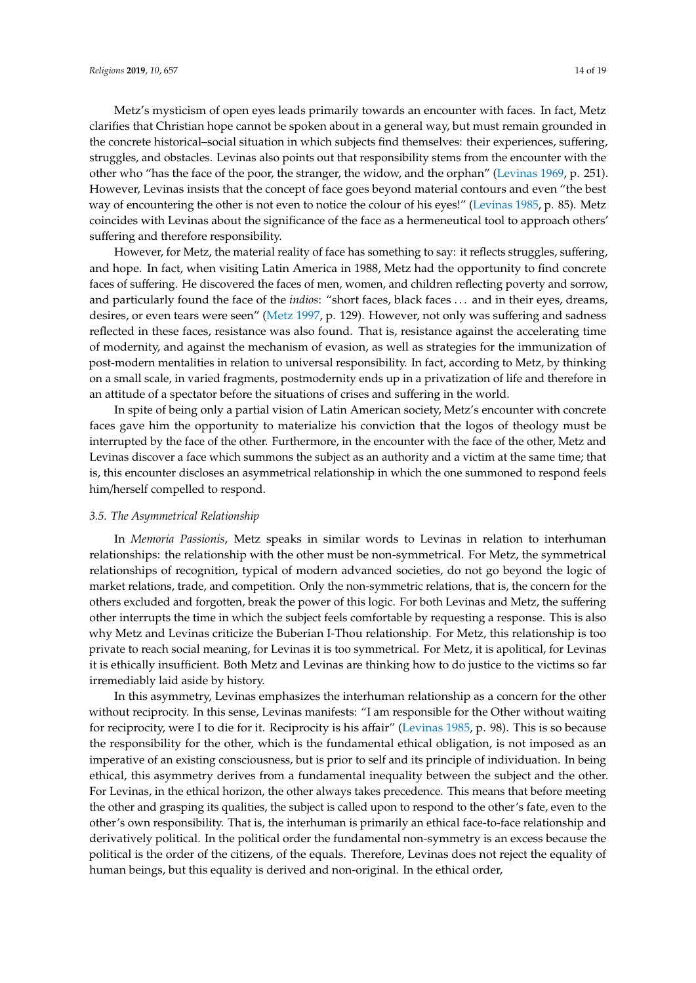Metz's mysticism of open eyes leads primarily towards an encounter with faces. In fact, Metz clarifies that Christian hope cannot be spoken about in a general way, but must remain grounded in the concrete historical–social situation in which subjects find themselves: their experiences, suffering, struggles, and obstacles. Levinas also points out that responsibility stems from the encounter with the other who "has the face of the poor, the stranger, the widow, and the orphan" [\(Levinas](#page-16-0) [1969,](#page-16-0) p. 251). However, Levinas insists that the concept of face goes beyond material contours and even "the best way of encountering the other is not even to notice the colour of his eyes!" [\(Levinas](#page-16-15) [1985,](#page-16-15) p. 85). Metz coincides with Levinas about the significance of the face as a hermeneutical tool to approach others' suffering and therefore responsibility.

However, for Metz, the material reality of face has something to say: it reflects struggles, suffering, and hope. In fact, when visiting Latin America in 1988, Metz had the opportunity to find concrete faces of suffering. He discovered the faces of men, women, and children reflecting poverty and sorrow, and particularly found the face of the *indios*: "short faces, black faces . . . and in their eyes, dreams, desires, or even tears were seen" [\(Metz](#page-17-25) [1997,](#page-17-25) p. 129). However, not only was suffering and sadness reflected in these faces, resistance was also found. That is, resistance against the accelerating time of modernity, and against the mechanism of evasion, as well as strategies for the immunization of post-modern mentalities in relation to universal responsibility. In fact, according to Metz, by thinking on a small scale, in varied fragments, postmodernity ends up in a privatization of life and therefore in an attitude of a spectator before the situations of crises and suffering in the world.

In spite of being only a partial vision of Latin American society, Metz's encounter with concrete faces gave him the opportunity to materialize his conviction that the logos of theology must be interrupted by the face of the other. Furthermore, in the encounter with the face of the other, Metz and Levinas discover a face which summons the subject as an authority and a victim at the same time; that is, this encounter discloses an asymmetrical relationship in which the one summoned to respond feels him/herself compelled to respond.

## *3.5. The Asymmetrical Relationship*

In *Memoria Passionis*, Metz speaks in similar words to Levinas in relation to interhuman relationships: the relationship with the other must be non-symmetrical. For Metz, the symmetrical relationships of recognition, typical of modern advanced societies, do not go beyond the logic of market relations, trade, and competition. Only the non-symmetric relations, that is, the concern for the others excluded and forgotten, break the power of this logic. For both Levinas and Metz, the suffering other interrupts the time in which the subject feels comfortable by requesting a response. This is also why Metz and Levinas criticize the Buberian I-Thou relationship. For Metz, this relationship is too private to reach social meaning, for Levinas it is too symmetrical. For Metz, it is apolitical, for Levinas it is ethically insufficient. Both Metz and Levinas are thinking how to do justice to the victims so far irremediably laid aside by history.

In this asymmetry, Levinas emphasizes the interhuman relationship as a concern for the other without reciprocity. In this sense, Levinas manifests: "I am responsible for the Other without waiting for reciprocity, were I to die for it. Reciprocity is his affair" [\(Levinas](#page-16-15) [1985,](#page-16-15) p. 98). This is so because the responsibility for the other, which is the fundamental ethical obligation, is not imposed as an imperative of an existing consciousness, but is prior to self and its principle of individuation. In being ethical, this asymmetry derives from a fundamental inequality between the subject and the other. For Levinas, in the ethical horizon, the other always takes precedence. This means that before meeting the other and grasping its qualities, the subject is called upon to respond to the other's fate, even to the other's own responsibility. That is, the interhuman is primarily an ethical face-to-face relationship and derivatively political. In the political order the fundamental non-symmetry is an excess because the political is the order of the citizens, of the equals. Therefore, Levinas does not reject the equality of human beings, but this equality is derived and non-original. In the ethical order,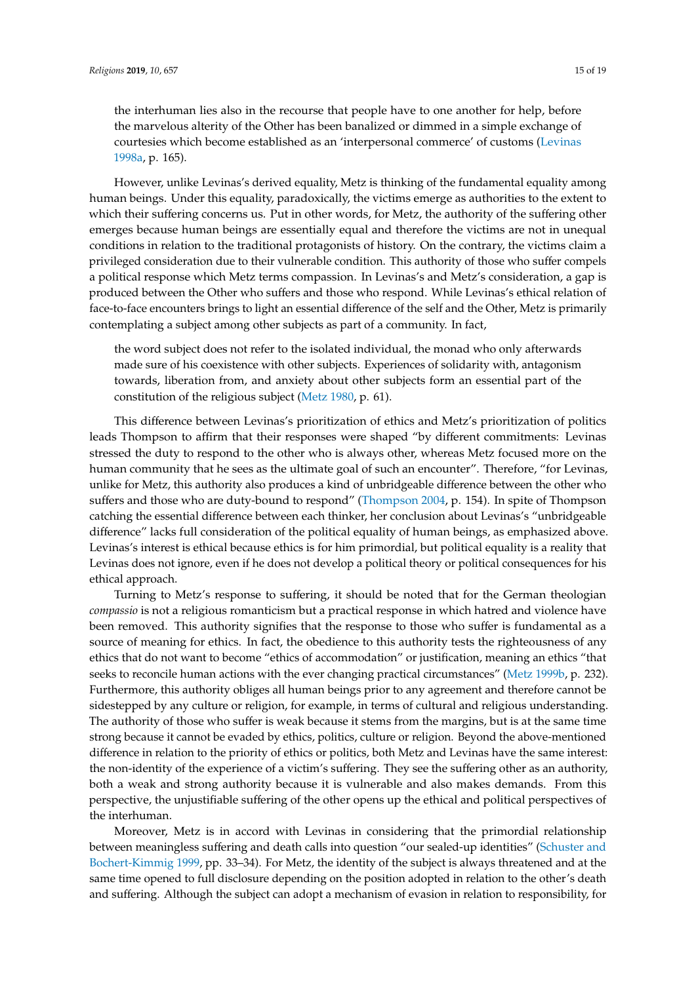the interhuman lies also in the recourse that people have to one another for help, before the marvelous alterity of the Other has been banalized or dimmed in a simple exchange of courtesies which become established as an 'interpersonal commerce' of customs [\(Levinas](#page-17-8) [1998a,](#page-17-8) p. 165).

However, unlike Levinas's derived equality, Metz is thinking of the fundamental equality among human beings. Under this equality, paradoxically, the victims emerge as authorities to the extent to which their suffering concerns us. Put in other words, for Metz, the authority of the suffering other emerges because human beings are essentially equal and therefore the victims are not in unequal conditions in relation to the traditional protagonists of history. On the contrary, the victims claim a privileged consideration due to their vulnerable condition. This authority of those who suffer compels a political response which Metz terms compassion. In Levinas's and Metz's consideration, a gap is produced between the Other who suffers and those who respond. While Levinas's ethical relation of face-to-face encounters brings to light an essential difference of the self and the Other, Metz is primarily contemplating a subject among other subjects as part of a community. In fact,

the word subject does not refer to the isolated individual, the monad who only afterwards made sure of his coexistence with other subjects. Experiences of solidarity with, antagonism towards, liberation from, and anxiety about other subjects form an essential part of the constitution of the religious subject [\(Metz](#page-17-15) [1980,](#page-17-15) p. 61).

This difference between Levinas's prioritization of ethics and Metz's prioritization of politics leads Thompson to affirm that their responses were shaped "by different commitments: Levinas stressed the duty to respond to the other who is always other, whereas Metz focused more on the human community that he sees as the ultimate goal of such an encounter". Therefore, "for Levinas, unlike for Metz, this authority also produces a kind of unbridgeable difference between the other who suffers and those who are duty-bound to respond" [\(Thompson](#page-18-1) [2004,](#page-18-1) p. 154). In spite of Thompson catching the essential difference between each thinker, her conclusion about Levinas's "unbridgeable difference" lacks full consideration of the political equality of human beings, as emphasized above. Levinas's interest is ethical because ethics is for him primordial, but political equality is a reality that Levinas does not ignore, even if he does not develop a political theory or political consequences for his ethical approach.

Turning to Metz's response to suffering, it should be noted that for the German theologian *compassio* is not a religious romanticism but a practical response in which hatred and violence have been removed. This authority signifies that the response to those who suffer is fundamental as a source of meaning for ethics. In fact, the obedience to this authority tests the righteousness of any ethics that do not want to become "ethics of accommodation" or justification, meaning an ethics "that seeks to reconcile human actions with the ever changing practical circumstances" [\(Metz](#page-17-26) [1999b,](#page-17-26) p. 232). Furthermore, this authority obliges all human beings prior to any agreement and therefore cannot be sidestepped by any culture or religion, for example, in terms of cultural and religious understanding. The authority of those who suffer is weak because it stems from the margins, but is at the same time strong because it cannot be evaded by ethics, politics, culture or religion. Beyond the above-mentioned difference in relation to the priority of ethics or politics, both Metz and Levinas have the same interest: the non-identity of the experience of a victim's suffering. They see the suffering other as an authority, both a weak and strong authority because it is vulnerable and also makes demands. From this perspective, the unjustifiable suffering of the other opens up the ethical and political perspectives of the interhuman.

Moreover, Metz is in accord with Levinas in considering that the primordial relationship between meaningless suffering and death calls into question "our sealed-up identities" [\(Schuster and](#page-17-27) [Bochert-Kimmig](#page-17-27) [1999,](#page-17-27) pp. 33–34). For Metz, the identity of the subject is always threatened and at the same time opened to full disclosure depending on the position adopted in relation to the other's death and suffering. Although the subject can adopt a mechanism of evasion in relation to responsibility, for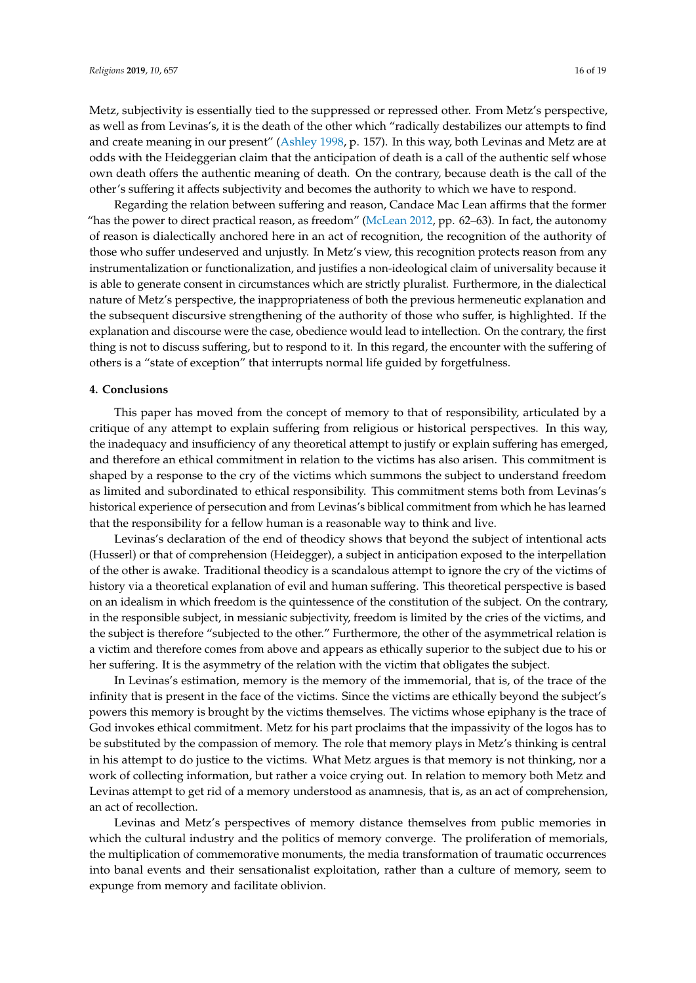Metz, subjectivity is essentially tied to the suppressed or repressed other. From Metz's perspective, as well as from Levinas's, it is the death of the other which "radically destabilizes our attempts to find and create meaning in our present" [\(Ashley](#page-16-14) [1998,](#page-16-14) p. 157). In this way, both Levinas and Metz are at odds with the Heideggerian claim that the anticipation of death is a call of the authentic self whose own death offers the authentic meaning of death. On the contrary, because death is the call of the other's suffering it affects subjectivity and becomes the authority to which we have to respond.

Regarding the relation between suffering and reason, Candace Mac Lean affirms that the former "has the power to direct practical reason, as freedom" [\(McLean](#page-17-28) [2012,](#page-17-28) pp. 62–63). In fact, the autonomy of reason is dialectically anchored here in an act of recognition, the recognition of the authority of those who suffer undeserved and unjustly. In Metz's view, this recognition protects reason from any instrumentalization or functionalization, and justifies a non-ideological claim of universality because it is able to generate consent in circumstances which are strictly pluralist. Furthermore, in the dialectical nature of Metz's perspective, the inappropriateness of both the previous hermeneutic explanation and the subsequent discursive strengthening of the authority of those who suffer, is highlighted. If the explanation and discourse were the case, obedience would lead to intellection. On the contrary, the first thing is not to discuss suffering, but to respond to it. In this regard, the encounter with the suffering of others is a "state of exception" that interrupts normal life guided by forgetfulness.

## **4. Conclusions**

This paper has moved from the concept of memory to that of responsibility, articulated by a critique of any attempt to explain suffering from religious or historical perspectives. In this way, the inadequacy and insufficiency of any theoretical attempt to justify or explain suffering has emerged, and therefore an ethical commitment in relation to the victims has also arisen. This commitment is shaped by a response to the cry of the victims which summons the subject to understand freedom as limited and subordinated to ethical responsibility. This commitment stems both from Levinas's historical experience of persecution and from Levinas's biblical commitment from which he has learned that the responsibility for a fellow human is a reasonable way to think and live.

Levinas's declaration of the end of theodicy shows that beyond the subject of intentional acts (Husserl) or that of comprehension (Heidegger), a subject in anticipation exposed to the interpellation of the other is awake. Traditional theodicy is a scandalous attempt to ignore the cry of the victims of history via a theoretical explanation of evil and human suffering. This theoretical perspective is based on an idealism in which freedom is the quintessence of the constitution of the subject. On the contrary, in the responsible subject, in messianic subjectivity, freedom is limited by the cries of the victims, and the subject is therefore "subjected to the other." Furthermore, the other of the asymmetrical relation is a victim and therefore comes from above and appears as ethically superior to the subject due to his or her suffering. It is the asymmetry of the relation with the victim that obligates the subject.

In Levinas's estimation, memory is the memory of the immemorial, that is, of the trace of the infinity that is present in the face of the victims. Since the victims are ethically beyond the subject's powers this memory is brought by the victims themselves. The victims whose epiphany is the trace of God invokes ethical commitment. Metz for his part proclaims that the impassivity of the logos has to be substituted by the compassion of memory. The role that memory plays in Metz's thinking is central in his attempt to do justice to the victims. What Metz argues is that memory is not thinking, nor a work of collecting information, but rather a voice crying out. In relation to memory both Metz and Levinas attempt to get rid of a memory understood as anamnesis, that is, as an act of comprehension, an act of recollection.

Levinas and Metz's perspectives of memory distance themselves from public memories in which the cultural industry and the politics of memory converge. The proliferation of memorials, the multiplication of commemorative monuments, the media transformation of traumatic occurrences into banal events and their sensationalist exploitation, rather than a culture of memory, seem to expunge from memory and facilitate oblivion.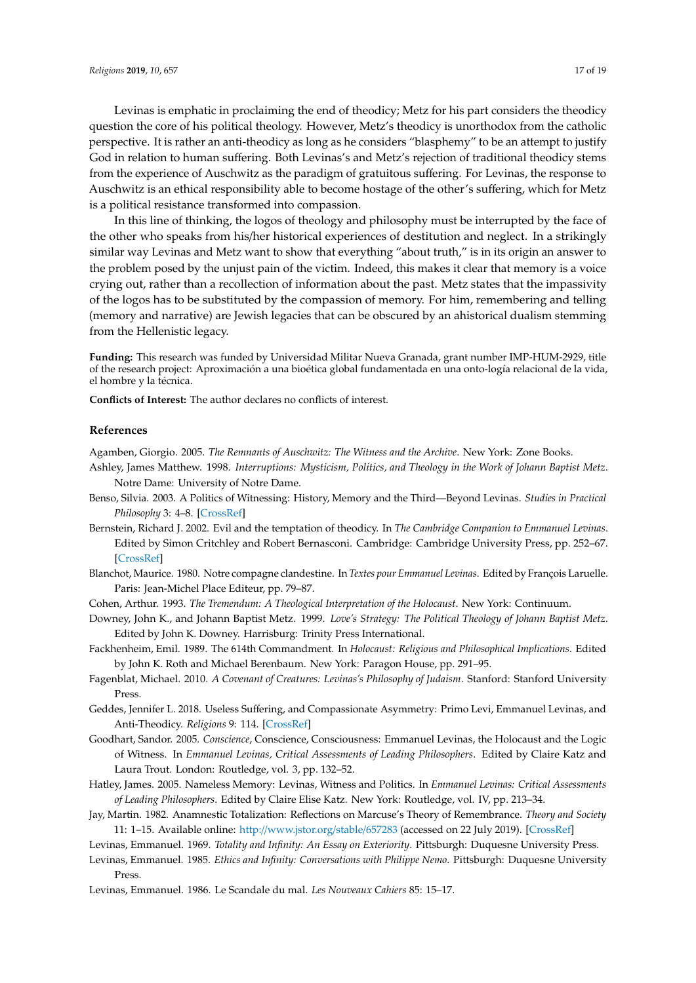Levinas is emphatic in proclaiming the end of theodicy; Metz for his part considers the theodicy question the core of his political theology. However, Metz's theodicy is unorthodox from the catholic perspective. It is rather an anti-theodicy as long as he considers "blasphemy" to be an attempt to justify God in relation to human suffering. Both Levinas's and Metz's rejection of traditional theodicy stems from the experience of Auschwitz as the paradigm of gratuitous suffering. For Levinas, the response to Auschwitz is an ethical responsibility able to become hostage of the other's suffering, which for Metz is a political resistance transformed into compassion.

In this line of thinking, the logos of theology and philosophy must be interrupted by the face of the other who speaks from his/her historical experiences of destitution and neglect. In a strikingly similar way Levinas and Metz want to show that everything "about truth," is in its origin an answer to the problem posed by the unjust pain of the victim. Indeed, this makes it clear that memory is a voice crying out, rather than a recollection of information about the past. Metz states that the impassivity of the logos has to be substituted by the compassion of memory. For him, remembering and telling (memory and narrative) are Jewish legacies that can be obscured by an ahistorical dualism stemming from the Hellenistic legacy.

**Funding:** This research was funded by Universidad Militar Nueva Granada, grant number IMP-HUM-2929, title of the research project: Aproximación a una bioética global fundamentada en una onto-logía relacional de la vida, el hombre y la técnica.

**Conflicts of Interest:** The author declares no conflicts of interest.

## **References**

<span id="page-16-8"></span>Agamben, Giorgio. 2005. *The Remnants of Auschwitz: The Witness and the Archive*. New York: Zone Books.

- <span id="page-16-14"></span>Ashley, James Matthew. 1998. *Interruptions: Mysticism, Politics, and Theology in the Work of Johann Baptist Metz*. Notre Dame: University of Notre Dame.
- <span id="page-16-1"></span>Benso, Silvia. 2003. A Politics of Witnessing: History, Memory and the Third—Beyond Levinas. *Studies in Practical Philosophy* 3: 4–8. [\[CrossRef\]](http://dx.doi.org/10.5840/studpracphil20033213)
- <span id="page-16-5"></span>Bernstein, Richard J. 2002. Evil and the temptation of theodicy. In *The Cambridge Companion to Emmanuel Levinas*. Edited by Simon Critchley and Robert Bernasconi. Cambridge: Cambridge University Press, pp. 252–67. [\[CrossRef\]](http://dx.doi.org/10.1017/CCOL0521662060)
- <span id="page-16-7"></span>Blanchot, Maurice. 1980. Notre compagne clandestine. In *Textes pour Emmanuel Levinas*. Edited by François Laruelle. Paris: Jean-Michel Place Editeur, pp. 79–87.
- <span id="page-16-11"></span><span id="page-16-10"></span>Cohen, Arthur. 1993. *The Tremendum: A Theological Interpretation of the Holocaust*. New York: Continuum.
- Downey, John K., and Johann Baptist Metz. 1999. *Love's Strategy: The Political Theology of Johann Baptist Metz*. Edited by John K. Downey. Harrisburg: Trinity Press International.
- <span id="page-16-13"></span>Fackhenheim, Emil. 1989. The 614th Commandment. In *Holocaust: Religious and Philosophical Implications*. Edited by John K. Roth and Michael Berenbaum. New York: Paragon House, pp. 291–95.
- <span id="page-16-6"></span>Fagenblat, Michael. 2010. *A Covenant of Creatures: Levinas's Philosophy of Judaism*. Stanford: Stanford University Press.
- <span id="page-16-4"></span>Geddes, Jennifer L. 2018. Useless Suffering, and Compassionate Asymmetry: Primo Levi, Emmanuel Levinas, and Anti-Theodicy. *Religions* 9: 114. [\[CrossRef\]](http://dx.doi.org/10.3390/rel9040114)
- <span id="page-16-3"></span>Goodhart, Sandor. 2005. *Conscience*, Conscience, Consciousness: Emmanuel Levinas, the Holocaust and the Logic of Witness. In *Emmanuel Levinas, Critical Assessments of Leading Philosophers*. Edited by Claire Katz and Laura Trout. London: Routledge, vol. 3, pp. 132–52.
- <span id="page-16-2"></span>Hatley, James. 2005. Nameless Memory: Levinas, Witness and Politics. In *Emmanuel Levinas: Critical Assessments of Leading Philosophers*. Edited by Claire Elise Katz. New York: Routledge, vol. IV, pp. 213–34.
- <span id="page-16-12"></span>Jay, Martin. 1982. Anamnestic Totalization: Reflections on Marcuse's Theory of Remembrance. *Theory and Society* 11: 1–15. Available online: http://[www.jstor.org](http://www.jstor.org/stable/657283)/stable/657283 (accessed on 22 July 2019). [\[CrossRef\]](http://dx.doi.org/10.1007/BF00173107)
- <span id="page-16-15"></span><span id="page-16-0"></span>Levinas, Emmanuel. 1969. *Totality and Infinity: An Essay on Exteriority*. Pittsburgh: Duquesne University Press.
- Levinas, Emmanuel. 1985. *Ethics and Infinity: Conversations with Philippe Nemo*. Pittsburgh: Duquesne University Press.
- <span id="page-16-9"></span>Levinas, Emmanuel. 1986. Le Scandale du mal. *Les Nouveaux Cahiers* 85: 15–17.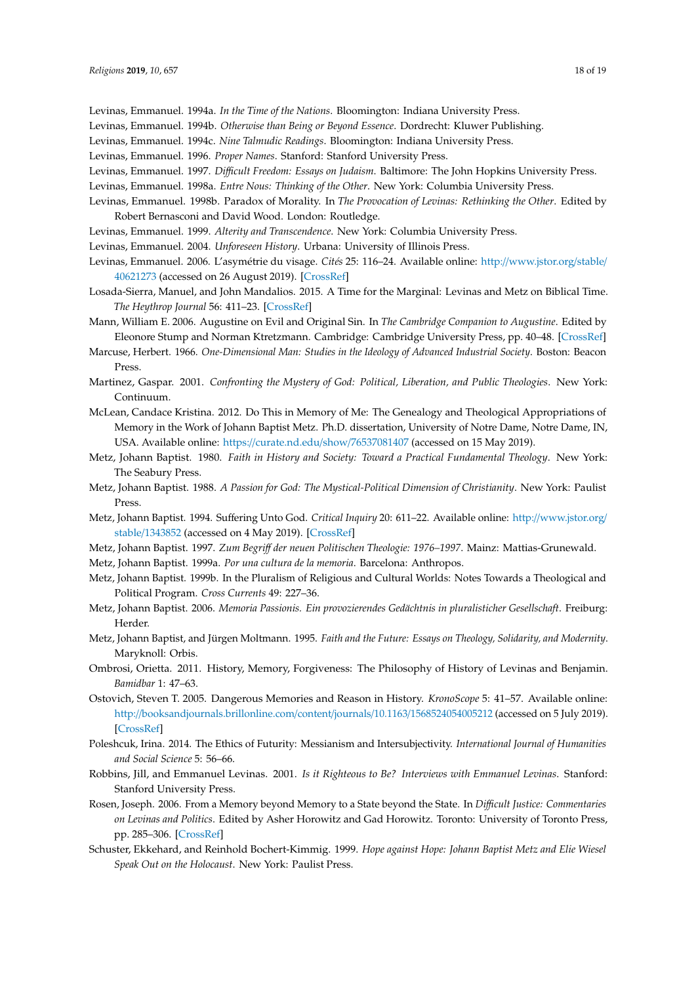- <span id="page-17-11"></span>Levinas, Emmanuel. 1994a. *In the Time of the Nations*. Bloomington: Indiana University Press.
- <span id="page-17-3"></span>Levinas, Emmanuel. 1994b. *Otherwise than Being or Beyond Essence*. Dordrecht: Kluwer Publishing.
- <span id="page-17-13"></span>Levinas, Emmanuel. 1994c. *Nine Talmudic Readings*. Bloomington: Indiana University Press.
- <span id="page-17-6"></span>Levinas, Emmanuel. 1996. *Proper Names*. Stanford: Stanford University Press.
- <span id="page-17-4"></span>Levinas, Emmanuel. 1997. *Di*ffi*cult Freedom: Essays on Judaism*. Baltimore: The John Hopkins University Press.
- <span id="page-17-8"></span>Levinas, Emmanuel. 1998a. *Entre Nous: Thinking of the Other*. New York: Columbia University Press.
- <span id="page-17-12"></span>Levinas, Emmanuel. 1998b. Paradox of Morality. In *The Provocation of Levinas: Rethinking the Other*. Edited by Robert Bernasconi and David Wood. London: Routledge.
- <span id="page-17-23"></span><span id="page-17-5"></span>Levinas, Emmanuel. 1999. *Alterity and Transcendence*. New York: Columbia University Press.
- Levinas, Emmanuel. 2004. *Unforeseen History*. Urbana: University of Illinois Press.
- <span id="page-17-7"></span>Levinas, Emmanuel. 2006. L'asymétrie du visage. *Cités* 25: 116–24. Available online: http://[www.jstor.org](http://www.jstor.org/stable/40621273)/stable/ [40621273](http://www.jstor.org/stable/40621273) (accessed on 26 August 2019). [\[CrossRef\]](http://dx.doi.org/10.3917/cite.025.0116)
- <span id="page-17-2"></span>Losada-Sierra, Manuel, and John Mandalios. 2015. A Time for the Marginal: Levinas and Metz on Biblical Time. *The Heythrop Journal* 56: 411–23. [\[CrossRef\]](http://dx.doi.org/10.1111/heyj.12157)
- <span id="page-17-20"></span>Mann, William E. 2006. Augustine on Evil and Original Sin. In *The Cambridge Companion to Augustine*. Edited by Eleonore Stump and Norman Ktretzmann. Cambridge: Cambridge University Press, pp. 40–48. [\[CrossRef\]](http://dx.doi.org/10.1017/CCOL0521650186)
- <span id="page-17-17"></span>Marcuse, Herbert. 1966. *One-Dimensional Man: Studies in the Ideology of Advanced Industrial Society*. Boston: Beacon Press.
- <span id="page-17-24"></span>Martinez, Gaspar. 2001. *Confronting the Mystery of God: Political, Liberation, and Public Theologies*. New York: Continuum.
- <span id="page-17-28"></span>McLean, Candace Kristina. 2012. Do This in Memory of Me: The Genealogy and Theological Appropriations of Memory in the Work of Johann Baptist Metz. Ph.D. dissertation, University of Notre Dame, Notre Dame, IN, USA. Available online: https://[curate.nd.edu](https://curate.nd.edu/show/76537081407)/show/76537081407 (accessed on 15 May 2019).
- <span id="page-17-15"></span>Metz, Johann Baptist. 1980. *Faith in History and Society: Toward a Practical Fundamental Theology*. New York: The Seabury Press.
- <span id="page-17-21"></span>Metz, Johann Baptist. 1988. *A Passion for God: The Mystical-Political Dimension of Christianity*. New York: Paulist Press.
- <span id="page-17-19"></span>Metz, Johann Baptist. 1994. Suffering Unto God. *Critical Inquiry* 20: 611–22. Available online: http://[www.jstor.org](http://www.jstor.org/stable/1343852)/ stable/[1343852](http://www.jstor.org/stable/1343852) (accessed on 4 May 2019). [\[CrossRef\]](http://dx.doi.org/10.1086/448730)
- <span id="page-17-25"></span><span id="page-17-16"></span>Metz, Johann Baptist. 1997. *Zum Begri*ff *der neuen Politischen Theologie: 1976–1997*. Mainz: Mattias-Grunewald.
- Metz, Johann Baptist. 1999a. *Por una cultura de la memoria*. Barcelona: Anthropos.
- <span id="page-17-26"></span>Metz, Johann Baptist. 1999b. In the Pluralism of Religious and Cultural Worlds: Notes Towards a Theological and Political Program. *Cross Currents* 49: 227–36.
- <span id="page-17-22"></span>Metz, Johann Baptist. 2006. *Memoria Passionis. Ein provozierendes Gedächtnis in pluralisticher Gesellschaft*. Freiburg: Herder.
- <span id="page-17-18"></span>Metz, Johann Baptist, and Jürgen Moltmann. 1995. *Faith and the Future: Essays on Theology, Solidarity, and Modernity*. Maryknoll: Orbis.
- <span id="page-17-0"></span>Ombrosi, Orietta. 2011. History, Memory, Forgiveness: The Philosophy of History of Levinas and Benjamin. *Bamidbar* 1: 47–63.
- <span id="page-17-14"></span>Ostovich, Steven T. 2005. Dangerous Memories and Reason in History. *KronoScope* 5: 41–57. Available online: http://[booksandjournals.brillonline.com](http://booksandjournals.brillonline.com/content/journals/10.1163/1568524054005212)/content/journals/10.1163/1568524054005212 (accessed on 5 July 2019). [\[CrossRef\]](http://dx.doi.org/10.1163/1568524054005212)
- <span id="page-17-1"></span>Poleshcuk, Irina. 2014. The Ethics of Futurity: Messianism and Intersubjectivity. *International Journal of Humanities and Social Science* 5: 56–66.
- <span id="page-17-10"></span>Robbins, Jill, and Emmanuel Levinas. 2001. *Is it Righteous to Be? Interviews with Emmanuel Levinas*. Stanford: Stanford University Press.
- <span id="page-17-9"></span>Rosen, Joseph. 2006. From a Memory beyond Memory to a State beyond the State. In *Di*ffi*cult Justice: Commentaries on Levinas and Politics*. Edited by Asher Horowitz and Gad Horowitz. Toronto: University of Toronto Press, pp. 285–306. [\[CrossRef\]](http://dx.doi.org/10.3138/9781442673915-019)
- <span id="page-17-27"></span>Schuster, Ekkehard, and Reinhold Bochert-Kimmig. 1999. *Hope against Hope: Johann Baptist Metz and Elie Wiesel Speak Out on the Holocaust*. New York: Paulist Press.